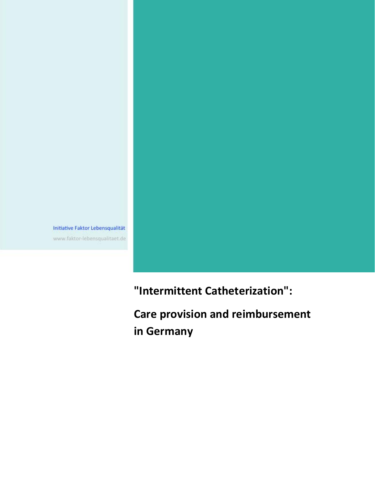Initiative Faktor Lebensqualität www.faktor-lebensqualitaet.de

**"Intermittent Catheterization":**

**Care provision and reimbursement in Germany**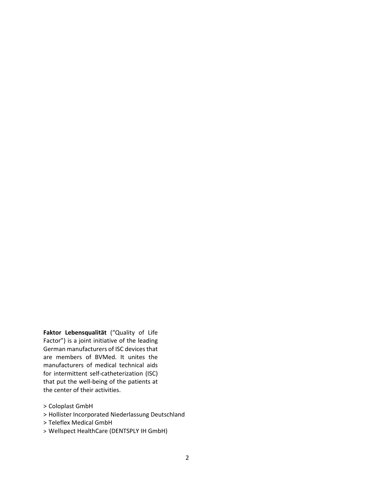**Faktor Lebensqualität** ("Quality of Life Factor") is a joint initiative of the leading German manufacturers of ISC devices that are members of BVMed. It unites the manufacturers of medical technical aids for intermittent self-catheterization (ISC) that put the well-being of the patients at the center of their activities.

- > Coloplast GmbH
- > Hollister Incorporated Niederlassung Deutschland
- > Teleflex Medical GmbH
- > Wellspect HealthCare (DENTSPLY IH GmbH)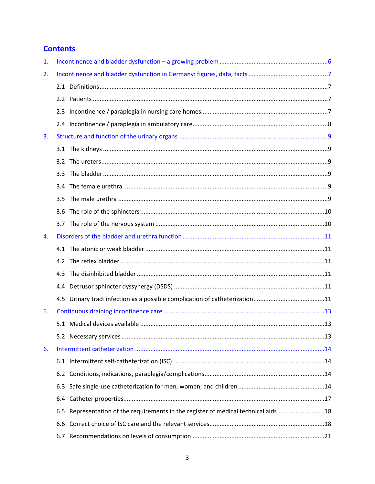# **Contents**

| 1. |     |                                                                                 |  |
|----|-----|---------------------------------------------------------------------------------|--|
| 2. |     |                                                                                 |  |
|    |     |                                                                                 |  |
|    |     |                                                                                 |  |
|    |     |                                                                                 |  |
|    |     |                                                                                 |  |
| 3. |     |                                                                                 |  |
|    |     |                                                                                 |  |
|    |     |                                                                                 |  |
|    |     |                                                                                 |  |
|    |     |                                                                                 |  |
|    | 3.5 |                                                                                 |  |
|    |     |                                                                                 |  |
|    |     |                                                                                 |  |
| 4. |     |                                                                                 |  |
|    |     |                                                                                 |  |
|    |     |                                                                                 |  |
|    |     |                                                                                 |  |
|    |     |                                                                                 |  |
|    |     |                                                                                 |  |
| 5. |     |                                                                                 |  |
|    |     |                                                                                 |  |
|    |     |                                                                                 |  |
| 6. |     |                                                                                 |  |
|    |     |                                                                                 |  |
|    | 6.2 |                                                                                 |  |
|    | 6.3 |                                                                                 |  |
|    | 6.4 |                                                                                 |  |
|    | 6.5 | Representation of the requirements in the register of medical technical aids 18 |  |
|    | 6.6 |                                                                                 |  |
|    | 6.7 |                                                                                 |  |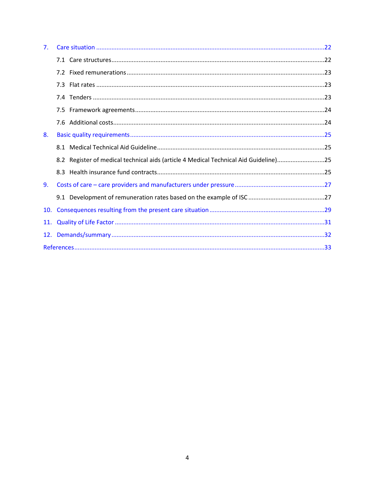| 7 <sub>1</sub> |                                                                                      |  |  |  |
|----------------|--------------------------------------------------------------------------------------|--|--|--|
|                |                                                                                      |  |  |  |
|                |                                                                                      |  |  |  |
|                |                                                                                      |  |  |  |
|                |                                                                                      |  |  |  |
|                |                                                                                      |  |  |  |
|                |                                                                                      |  |  |  |
| 8.             |                                                                                      |  |  |  |
|                |                                                                                      |  |  |  |
|                | 8.2 Register of medical technical aids (article 4 Medical Technical Aid Guideline)25 |  |  |  |
|                |                                                                                      |  |  |  |
| 9.             |                                                                                      |  |  |  |
|                |                                                                                      |  |  |  |
| 10.            |                                                                                      |  |  |  |
| 11.            |                                                                                      |  |  |  |
|                |                                                                                      |  |  |  |
|                |                                                                                      |  |  |  |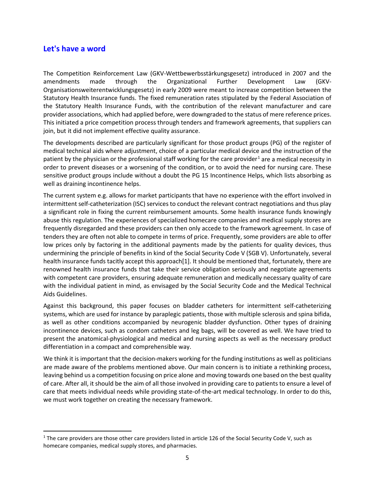# **Let's have a word**

The Competition Reinforcement Law (GKV-Wettbewerbsstärkungsgesetz) introduced in 2007 and the amendments made through the Organizational Further Development Law (GKV-Organisationsweiterentwicklungsgesetz) in early 2009 were meant to increase competition between the Statutory Health Insurance funds. The fixed remuneration rates stipulated by the Federal Association of the Statutory Health Insurance Funds, with the contribution of the relevant manufacturer and care provider associations, which had applied before, were downgraded to the status of mere reference prices. This initiated a price competition process through tenders and framework agreements, that suppliers can join, but it did not implement effective quality assurance.

The developments described are particularly significant for those product groups (PG) of the register of medical technical aids where adjustment, choice of a particular medical device and the instruction of the patient by the physician or the professional staff working for the care provider<sup>[1](#page-4-0)</sup> are a medical necessity in order to prevent diseases or a worsening of the condition, or to avoid the need for nursing care. These sensitive product groups include without a doubt the PG 15 Incontinence Helps, which lists absorbing as well as draining incontinence helps.

The current system e.g. allows for market participants that have no experience with the effort involved in intermittent self-catheterization (ISC) services to conduct the relevant contract negotiations and thus play a significant role in fixing the current reimbursement amounts. Some health insurance funds knowingly abuse this regulation. The experiences of specialized homecare companies and medical supply stores are frequently disregarded and these providers can then only accede to the framework agreement. In case of tenders they are often not able to compete in terms of price. Frequently, some providers are able to offer low prices only by factoring in the additional payments made by the patients for quality devices, thus undermining the principle of benefits in kind of the Social Security Code V (SGB V). Unfortunately, several health insurance funds tacitly accept this approach[1]. It should be mentioned that, fortunately, there are renowned health insurance funds that take their service obligation seriously and negotiate agreements with competent care providers, ensuring adequate remuneration and medically necessary quality of care with the individual patient in mind, as envisaged by the Social Security Code and the Medical Technical Aids Guidelines.

Against this background, this paper focuses on bladder catheters for intermittent self-catheterizing systems, which are used for instance by paraplegic patients, those with multiple sclerosis and spina bifida, as well as other conditions accompanied by neurogenic bladder dysfunction. Other types of draining incontinence devices, such as condom catheters and leg bags, will be covered as well. We have tried to present the anatomical-physiological and medical and nursing aspects as well as the necessary product differentiation in a compact and comprehensible way.

We think it is important that the decision-makers working for the funding institutions as well as politicians are made aware of the problems mentioned above. Our main concern is to initiate a rethinking process, leaving behind us a competition focusing on price alone and moving towards one based on the best quality of care. After all, it should be the aim of all those involved in providing care to patients to ensure a level of care that meets individual needs while providing state-of-the-art medical technology. In order to do this, we must work together on creating the necessary framework.

<span id="page-4-0"></span><sup>&</sup>lt;sup>1</sup> The care providers are those other care providers listed in article 126 of the Social Security Code V, such as homecare companies, medical supply stores, and pharmacies.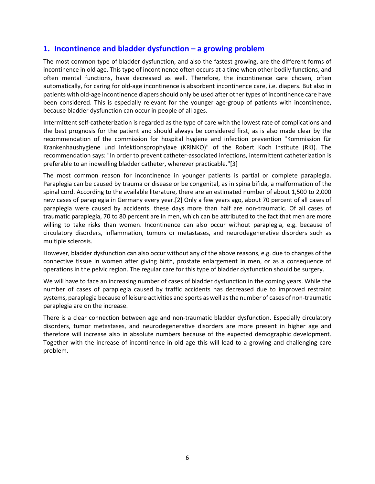# <span id="page-5-0"></span>**1. Incontinence and bladder dysfunction – a growing problem**

The most common type of bladder dysfunction, and also the fastest growing, are the different forms of incontinence in old age. This type of incontinence often occurs at a time when other bodily functions, and often mental functions, have decreased as well. Therefore, the incontinence care chosen, often automatically, for caring for old-age incontinence is absorbent incontinence care, i.e. diapers. But also in patients with old-age incontinence diapers should only be used after other types of incontinence care have been considered. This is especially relevant for the younger age-group of patients with incontinence, because bladder dysfunction can occur in people of all ages.

Intermittent self-catheterization is regarded as the type of care with the lowest rate of complications and the best prognosis for the patient and should always be considered first, as is also made clear by the recommendation of the commission for hospital hygiene and infection prevention "Kommission für Krankenhaushygiene und Infektionsprophylaxe (KRINKO)" of the Robert Koch Institute (RKI). The recommendation says: "In order to prevent catheter-associated infections, intermittent catheterization is preferable to an indwelling bladder catheter, wherever practicable."[3]

The most common reason for incontinence in younger patients is partial or complete paraplegia. Paraplegia can be caused by trauma or disease or be congenital, as in spina bifida, a malformation of the spinal cord. According to the available literature, there are an estimated number of about 1,500 to 2,000 new cases of paraplegia in Germany every year.[2] Only a few years ago, about 70 percent of all cases of paraplegia were caused by accidents, these days more than half are non-traumatic. Of all cases of traumatic paraplegia, 70 to 80 percent are in men, which can be attributed to the fact that men are more willing to take risks than women. Incontinence can also occur without paraplegia, e.g. because of circulatory disorders, inflammation, tumors or metastases, and neurodegenerative disorders such as multiple sclerosis.

However, bladder dysfunction can also occur without any of the above reasons, e.g. due to changes of the connective tissue in women after giving birth, prostate enlargement in men, or as a consequence of operations in the pelvic region. The regular care for this type of bladder dysfunction should be surgery.

We will have to face an increasing number of cases of bladder dysfunction in the coming years. While the number of cases of paraplegia caused by traffic accidents has decreased due to improved restraint systems, paraplegia because of leisure activities and sports as well as the number of cases of non-traumatic paraplegia are on the increase.

There is a clear connection between age and non-traumatic bladder dysfunction. Especially circulatory disorders, tumor metastases, and neurodegenerative disorders are more present in higher age and therefore will increase also in absolute numbers because of the expected demographic development. Together with the increase of incontinence in old age this will lead to a growing and challenging care problem.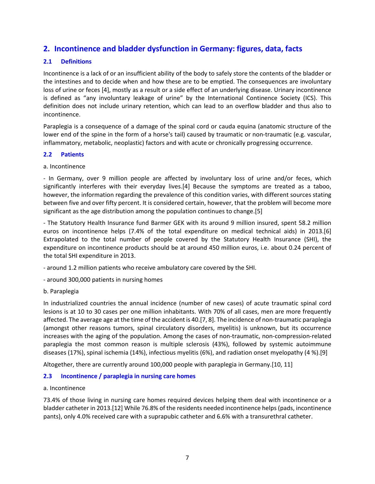# <span id="page-6-0"></span>**2. Incontinence and bladder dysfunction in Germany: figures, data, facts**

# <span id="page-6-1"></span>**2.1 Definitions**

Incontinence is a lack of or an insufficient ability of the body to safely store the contents of the bladder or the intestines and to decide when and how these are to be emptied. The consequences are involuntary loss of urine or feces [4], mostly as a result or a side effect of an underlying disease. Urinary incontinence is defined as "any involuntary leakage of urine" by the International Continence Society (ICS). This definition does not include urinary retention, which can lead to an overflow bladder and thus also to incontinence.

Paraplegia is a consequence of a damage of the spinal cord or cauda equina (anatomic structure of the lower end of the spine in the form of a horse's tail) caused by traumatic or non-traumatic (e.g. vascular, inflammatory, metabolic, neoplastic) factors and with acute or chronically progressing occurrence.

## <span id="page-6-2"></span>**2.2 Patients**

a. Incontinence

- In Germany, over 9 million people are affected by involuntary loss of urine and/or feces, which significantly interferes with their everyday lives.[4] Because the symptoms are treated as a taboo, however, the information regarding the prevalence of this condition varies, with different sources stating between five and over fifty percent. It is considered certain, however, that the problem will become more significant as the age distribution among the population continues to change.[5]

- The Statutory Health Insurance fund Barmer GEK with its around 9 million insured, spent 58.2 million euros on incontinence helps (7.4% of the total expenditure on medical technical aids) in 2013.[6] Extrapolated to the total number of people covered by the Statutory Health Insurance (SHI), the expenditure on incontinence products should be at around 450 million euros, i.e. about 0.24 percent of the total SHI expenditure in 2013.

- around 1.2 million patients who receive ambulatory care covered by the SHI.

- around 300,000 patients in nursing homes

### b. Paraplegia

In industrialized countries the annual incidence (number of new cases) of acute traumatic spinal cord lesions is at 10 to 30 cases per one million inhabitants. With 70% of all cases, men are more frequently affected. The average age at the time of the accident is 40.[7, 8]. The incidence of non-traumatic paraplegia (amongst other reasons tumors, spinal circulatory disorders, myelitis) is unknown, but its occurrence increases with the aging of the population. Among the cases of non-traumatic, non-compression-related paraplegia the most common reason is multiple sclerosis (43%), followed by systemic autoimmune diseases (17%), spinal ischemia (14%), infectious myelitis (6%), and radiation onset myelopathy (4 %).[9]

Altogether, there are currently around 100,000 people with paraplegia in Germany.[10, 11]

## <span id="page-6-3"></span>**2.3 Incontinence / paraplegia in nursing care homes**

### a. Incontinence

73.4% of those living in nursing care homes required devices helping them deal with incontinence or a bladder catheter in 2013.[12] While 76.8% of the residents needed incontinence helps (pads, incontinence pants), only 4.0% received care with a suprapubic catheter and 6.6% with a transurethral catheter.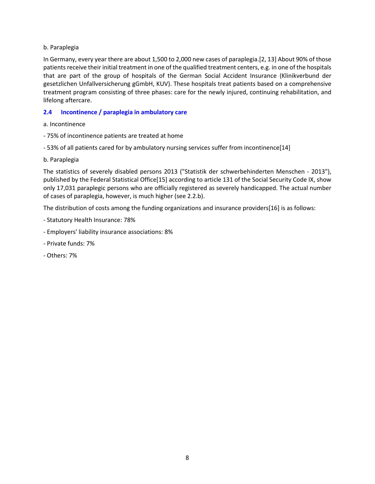### b. Paraplegia

In Germany, every year there are about 1,500 to 2,000 new cases of paraplegia.[2, 13] About 90% of those patients receive their initial treatment in one of the qualified treatment centers, e.g. in one of the hospitals that are part of the group of hospitals of the German Social Accident Insurance (Klinikverbund der gesetzlichen Unfallversicherung gGmbH, KUV). These hospitals treat patients based on a comprehensive treatment program consisting of three phases: care for the newly injured, continuing rehabilitation, and lifelong aftercare.

### <span id="page-7-0"></span>**2.4 Incontinence / paraplegia in ambulatory care**

- a. Incontinence
- 75% of incontinence patients are treated at home
- 53% of all patients cared for by ambulatory nursing services suffer from incontinence[14]
- b. Paraplegia

The statistics of severely disabled persons 2013 ("Statistik der schwerbehinderten Menschen - 2013"), published by the Federal Statistical Office[15] according to article 131 of the Social Security Code IX, show only 17,031 paraplegic persons who are officially registered as severely handicapped. The actual number of cases of paraplegia, however, is much higher (see 2.2.b).

The distribution of costs among the funding organizations and insurance providers[16] is as follows:

- Statutory Health Insurance: 78%
- Employers' liability insurance associations: 8%
- Private funds: 7%
- Others: 7%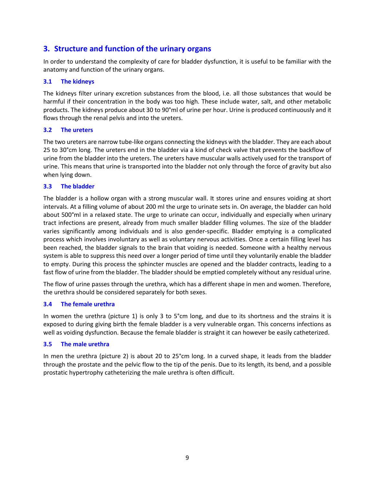# <span id="page-8-0"></span>**3. Structure and function of the urinary organs**

In order to understand the complexity of care for bladder dysfunction, it is useful to be familiar with the anatomy and function of the urinary organs.

## <span id="page-8-1"></span>**3.1 The kidneys**

The kidneys filter urinary excretion substances from the blood, i.e. all those substances that would be harmful if their concentration in the body was too high. These include water, salt, and other metabolic products. The kidneys produce about 30 to 90°ml of urine per hour. Urine is produced continuously and it flows through the renal pelvis and into the ureters.

### <span id="page-8-2"></span>**3.2 The ureters**

The two ureters are narrow tube-like organs connecting the kidneys with the bladder. They are each about 25 to 30°cm long. The ureters end in the bladder via a kind of check valve that prevents the backflow of urine from the bladder into the ureters. The ureters have muscular walls actively used for the transport of urine. This means that urine is transported into the bladder not only through the force of gravity but also when lying down.

### <span id="page-8-3"></span>**3.3 The bladder**

The bladder is a hollow organ with a strong muscular wall. It stores urine and ensures voiding at short intervals. At a filling volume of about 200 ml the urge to urinate sets in. On average, the bladder can hold about 500°ml in a relaxed state. The urge to urinate can occur, individually and especially when urinary tract infections are present, already from much smaller bladder filling volumes. The size of the bladder varies significantly among individuals and is also gender-specific. Bladder emptying is a complicated process which involves involuntary as well as voluntary nervous activities. Once a certain filling level has been reached, the bladder signals to the brain that voiding is needed. Someone with a healthy nervous system is able to suppress this need over a longer period of time until they voluntarily enable the bladder to empty. During this process the sphincter muscles are opened and the bladder contracts, leading to a fast flow of urine from the bladder. The bladder should be emptied completely without any residual urine.

The flow of urine passes through the urethra, which has a different shape in men and women. Therefore, the urethra should be considered separately for both sexes.

## <span id="page-8-4"></span>**3.4 The female urethra**

In women the urethra (picture 1) is only 3 to 5°cm long, and due to its shortness and the strains it is exposed to during giving birth the female bladder is a very vulnerable organ. This concerns infections as well as voiding dysfunction. Because the female bladder is straight it can however be easily catheterized.

### <span id="page-8-5"></span>**3.5 The male urethra**

In men the urethra (picture 2) is about 20 to 25°cm long. In a curved shape, it leads from the bladder through the prostate and the pelvic flow to the tip of the penis. Due to its length, its bend, and a possible prostatic hypertrophy catheterizing the male urethra is often difficult.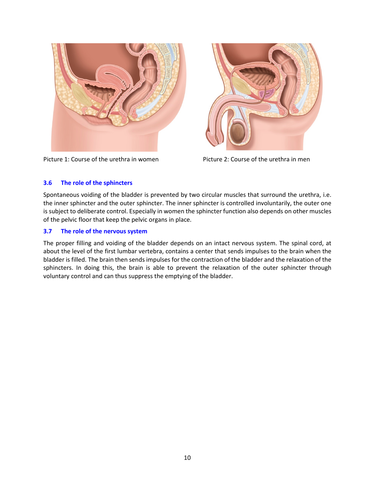



Picture 1: Course of the urethra in women Picture 2: Course of the urethra in men

### <span id="page-9-0"></span>**3.6 The role of the sphincters**

Spontaneous voiding of the bladder is prevented by two circular muscles that surround the urethra, i.e. the inner sphincter and the outer sphincter. The inner sphincter is controlled involuntarily, the outer one is subject to deliberate control. Especially in women the sphincter function also depends on other muscles of the pelvic floor that keep the pelvic organs in place.

### <span id="page-9-1"></span>**3.7 The role of the nervous system**

The proper filling and voiding of the bladder depends on an intact nervous system. The spinal cord, at about the level of the first lumbar vertebra, contains a center that sends impulses to the brain when the bladder is filled. The brain then sends impulses for the contraction of the bladder and the relaxation of the sphincters. In doing this, the brain is able to prevent the relaxation of the outer sphincter through voluntary control and can thus suppress the emptying of the bladder.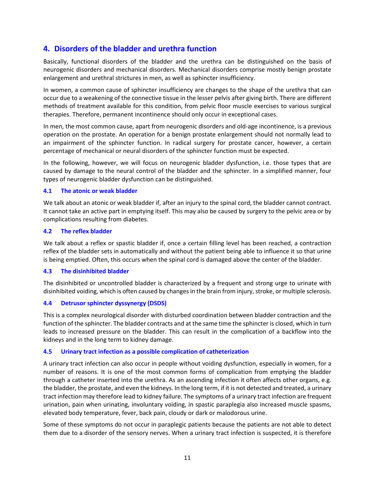# <span id="page-10-0"></span>**4. Disorders of the bladder and urethra function**

Basically, functional disorders of the bladder and the urethra can be distinguished on the basis of neurogenic disorders and mechanical disorders. Mechanical disorders comprise mostly benign prostate enlargement and urethral strictures in men, as well as sphincter insufficiency.

In women, a common cause of sphincter insufficiency are changes to the shape of the urethra that can occur due to a weakening of the connective tissue in the lesser pelvis after giving birth. There are different methods of treatment available for this condition, from pelvic floor muscle exercises to various surgical therapies. Therefore, permanent incontinence should only occur in exceptional cases.

In men, the most common cause, apart from neurogenic disorders and old-age incontinence, is a previous operation on the prostate. An operation for a benign prostate enlargement should not normally lead to an impairment of the sphincter function. In radical surgery for prostate cancer, however, a certain percentage of mechanical or neural disorders of the sphincter function must be expected.

In the following, however, we will focus on neurogenic bladder dysfunction, i.e. those types that are caused by damage to the neural control of the bladder and the sphincter. In a simplified manner, four types of neurogenic bladder dysfunction can be distinguished.

### <span id="page-10-1"></span>**4.1 The atonic or weak bladder**

We talk about an atonic or weak bladder if, after an injury to the spinal cord, the bladder cannot contract. It cannot take an active part in emptying itself. This may also be caused by surgery to the pelvic area or by complications resulting from diabetes.

### <span id="page-10-2"></span>**4.2 The reflex bladder**

We talk about a reflex or spastic bladder if, once a certain filling level has been reached, a contraction reflex of the bladder sets in automatically and without the patient being able to influence it so that urine is being emptied. Often, this occurs when the spinal cord is damaged above the center of the bladder.

### <span id="page-10-3"></span>**4.3 The disinhibited bladder**

The disinhibited or uncontrolled bladder is characterized by a frequent and strong urge to urinate with disinhibited voiding, which is often caused by changes in the brain from injury, stroke, or multiple sclerosis.

### <span id="page-10-4"></span>**4.4 Detrusor sphincter dyssynergy (DSDS)**

This is a complex neurological disorder with disturbed coordination between bladder contraction and the function of the sphincter. The bladder contracts and at the same time the sphincter is closed, which in turn leads to increased pressure on the bladder. This can result in the complication of a backflow into the kidneys and in the long term to kidney damage.

## <span id="page-10-5"></span>**4.5 Urinary tract infection as a possible complication of catheterization**

A urinary tract infection can also occur in people without voiding dysfunction, especially in women, for a number of reasons. It is one of the most common forms of complication from emptying the bladder through a catheter inserted into the urethra. As an ascending infection it often affects other organs, e.g. the bladder, the prostate, and even the kidneys. In the long term, if it is not detected and treated, a urinary tract infection may therefore lead to kidney failure. The symptoms of a urinary tract infection are frequent urination, pain when urinating, involuntary voiding, in spastic paraplegia also increased muscle spasms, elevated body temperature, fever, back pain, cloudy or dark or malodorous urine.

Some of these symptoms do not occur in paraplegic patients because the patients are not able to detect them due to a disorder of the sensory nerves. When a urinary tract infection is suspected, it is therefore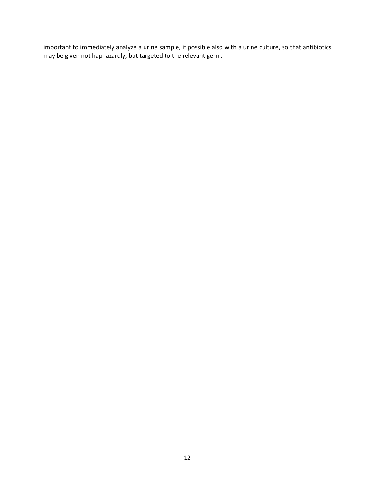important to immediately analyze a urine sample, if possible also with a urine culture, so that antibiotics may be given not haphazardly, but targeted to the relevant germ.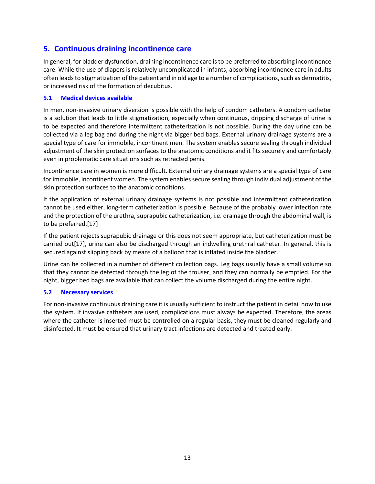# <span id="page-12-0"></span>**5. Continuous draining incontinence care**

In general, for bladder dysfunction, draining incontinence care is to be preferred to absorbing incontinence care. While the use of diapers is relatively uncomplicated in infants, absorbing incontinence care in adults often leads to stigmatization of the patient and in old age to a number of complications, such as dermatitis, or increased risk of the formation of decubitus.

### <span id="page-12-1"></span>**5.1 Medical devices available**

In men, non-invasive urinary diversion is possible with the help of condom catheters. A condom catheter is a solution that leads to little stigmatization, especially when continuous, dripping discharge of urine is to be expected and therefore intermittent catheterization is not possible. During the day urine can be collected via a leg bag and during the night via bigger bed bags. External urinary drainage systems are a special type of care for immobile, incontinent men. The system enables secure sealing through individual adjustment of the skin protection surfaces to the anatomic conditions and it fits securely and comfortably even in problematic care situations such as retracted penis.

Incontinence care in women is more difficult. External urinary drainage systems are a special type of care for immobile, incontinent women. The system enables secure sealing through individual adjustment of the skin protection surfaces to the anatomic conditions.

If the application of external urinary drainage systems is not possible and intermittent catheterization cannot be used either, long-term catheterization is possible. Because of the probably lower infection rate and the protection of the urethra, suprapubic catheterization, i.e. drainage through the abdominal wall, is to be preferred.[17]

If the patient rejects suprapubic drainage or this does not seem appropriate, but catheterization must be carried out[17], urine can also be discharged through an indwelling urethral catheter. In general, this is secured against slipping back by means of a balloon that is inflated inside the bladder.

Urine can be collected in a number of different collection bags. Leg bags usually have a small volume so that they cannot be detected through the leg of the trouser, and they can normally be emptied. For the night, bigger bed bags are available that can collect the volume discharged during the entire night.

## <span id="page-12-2"></span>**5.2 Necessary services**

For non-invasive continuous draining care it is usually sufficient to instruct the patient in detail how to use the system. If invasive catheters are used, complications must always be expected. Therefore, the areas where the catheter is inserted must be controlled on a regular basis, they must be cleaned regularly and disinfected. It must be ensured that urinary tract infections are detected and treated early.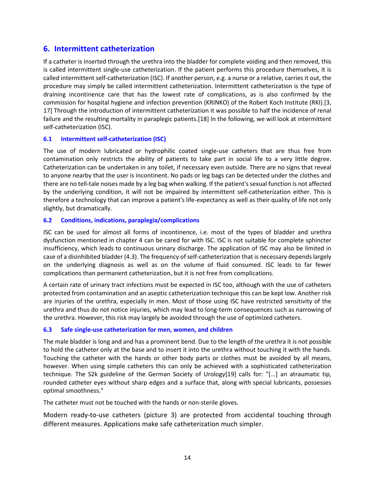# <span id="page-13-0"></span>**6. Intermittent catheterization**

If a catheter is inserted through the urethra into the bladder for complete voiding and then removed, this is called intermittent single-use catheterization. If the patient performs this procedure themselves, it is called intermittent self-catheterization (ISC). If another person, e.g. a nurse or a relative, carries it out, the procedure may simply be called intermittent catheterization. Intermittent catheterization is the type of draining incontinence care that has the lowest rate of complications, as is also confirmed by the commission for hospital hygiene and infection prevention (KRINKO) of the Robert Koch Institute (RKI).[3, 17] Through the introduction of intermittent catheterization it was possible to half the incidence of renal failure and the resulting mortality in paraplegic patients.[18] In the following, we will look at intermittent self-catheterization (ISC).

### <span id="page-13-1"></span>**6.1 Intermittent self-catheterization (ISC)**

The use of modern lubricated or hydrophilic coated single-use catheters that are thus free from contamination only restricts the ability of patients to take part in social life to a very little degree. Catheterization can be undertaken in any toilet, if necessary even outside. There are no signs that reveal to anyone nearby that the user is incontinent. No pads or leg bags can be detected under the clothes and there are no tell-tale noises made by a leg bag when walking. If the patient's sexual function is not affected by the underlying condition, it will not be impaired by intermittent self-catheterization either. This is therefore a technology that can improve a patient's life-expectancy as well as their quality of life not only slightly, but dramatically.

### <span id="page-13-2"></span>**6.2 Conditions, indications, paraplegia/complications**

ISC can be used for almost all forms of incontinence, i.e. most of the types of bladder and urethra dysfunction mentioned in chapter 4 can be cared for with ISC. ISC is not suitable for complete sphincter insufficiency, which leads to continuous urinary discharge. The application of ISC may also be limited in case of a disinhibited bladder (4.3). The frequency of self-catheterization that is necessary depends largely on the underlying diagnosis as well as on the volume of fluid consumed. ISC leads to far fewer complications than permanent catheterization, but it is not free from complications.

A certain rate of urinary tract infections must be expected in ISC too, although with the use of catheters protected from contamination and an aseptic catheterization technique this can be kept low. Another risk are injuries of the urethra, especially in men. Most of those using ISC have restricted sensitivity of the urethra and thus do not notice injuries, which may lead to long-term consequences such as narrowing of the urethra. However, this risk may largely be avoided through the use of optimized catheters.

### <span id="page-13-3"></span>**6.3 Safe single-use catheterization for men, women, and children**

The male bladder is long and and has a prominent bend. Due to the length of the urethra it is not possible to hold the catheter only at the base and to insert it into the urethra without touching it with the hands. Touching the catheter with the hands or other body parts or clothes must be avoided by all means, however. When using simple catheters this can only be achieved with a sophisticated catheterization technique. The S2k guideline of the German Society of Urology[19] calls for: "[...] an atraumatic tip, rounded catheter eyes without sharp edges and a surface that, along with special lubricants, possesses optimal smoothness."

The catheter must not be touched with the hands or non-sterile gloves.

Modern ready-to-use catheters (picture 3) are protected from accidental touching through different measures. Applications make safe catheterization much simpler.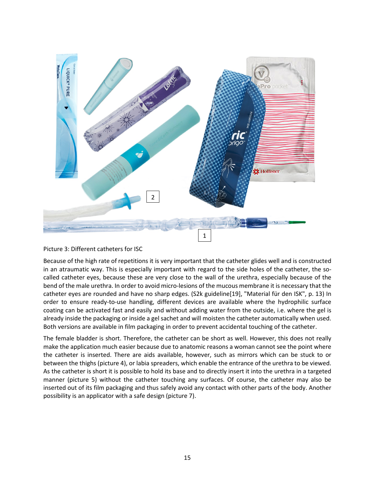

Picture 3: Different catheters for ISC

Because of the high rate of repetitions it is very important that the catheter glides well and is constructed in an atraumatic way. This is especially important with regard to the side holes of the catheter, the socalled catheter eyes, because these are very close to the wall of the urethra, especially because of the bend of the male urethra. In order to avoid micro-lesions of the mucous membrane it is necessary that the catheter eyes are rounded and have no sharp edges. (S2k guideline[19], "Material für den ISK", p. 13) In order to ensure ready-to-use handling, different devices are available where the hydrophilic surface coating can be activated fast and easily and without adding water from the outside, i.e. where the gel is already inside the packaging or inside a gel sachet and will moisten the catheter automatically when used. Both versions are available in film packaging in order to prevent accidental touching of the catheter.

The female bladder is short. Therefore, the catheter can be short as well. However, this does not really make the application much easier because due to anatomic reasons a woman cannot see the point where the catheter is inserted. There are aids available, however, such as mirrors which can be stuck to or between the thighs (picture 4), or labia spreaders, which enable the entrance of the urethra to be viewed. As the catheter is short it is possible to hold its base and to directly insert it into the urethra in a targeted manner (picture 5) without the catheter touching any surfaces. Of course, the catheter may also be inserted out of its film packaging and thus safely avoid any contact with other parts of the body. Another possibility is an applicator with a safe design (picture 7).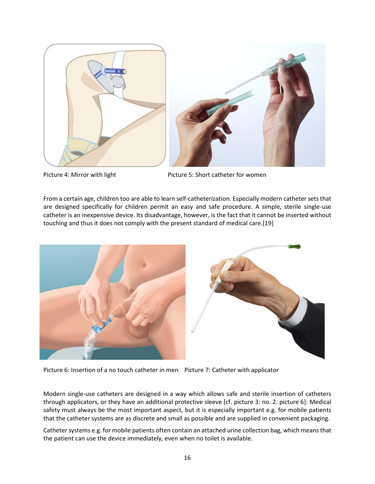

Picture 4: Mirror with light Picture 5: Short catheter for women

From a certain age, children too are able to learn self-catheterization. Especially modern catheter sets that are designed specifically for children permit an easy and safe procedure. A simple, sterile single-use catheter is an inexpensive device. Its disadvantage, however, is the fact that it cannot be inserted without touching and thus it does not comply with the present standard of medical care.[19]



Picture 6: Insertion of a no touch catheter in men Picture 7: Catheter with applicator

Modern single-use catheters are designed in a way which allows safe and sterile insertion of catheters through applicators, or they have an additional protective sleeve [cf. picture 3: no. 2. picture 6]: Medical safety must always be the most important aspect, but it is especially important e.g. for mobile patients that the catheter systems are as discrete and small as possible and are supplied in convenient packaging.

Catheter systems e.g. for mobile patients often contain an attached urine collection bag, which means that the patient can use the device immediately, even when no toilet is available.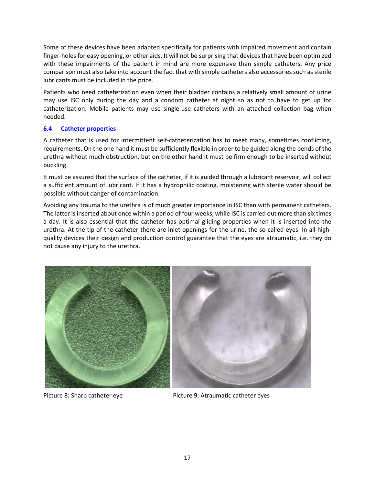Some of these devices have been adapted specifically for patients with impaired movement and contain finger-holes for easy opening, or other aids. It will not be surprising that devices that have been optimized with these impairments of the patient in mind are more expensive than simple catheters. Any price comparison must also take into account the fact that with simple catheters also accessories such as sterile lubricants must be included in the price.

Patients who need catheterization even when their bladder contains a relatively small amount of urine may use ISC only during the day and a condom catheter at night so as not to have to get up for catheterization. Mobile patients may use single-use catheters with an attached collection bag when needed.

### <span id="page-16-0"></span>**6.4 Catheter properties**

A catheter that is used for intermittent self-catheterization has to meet many, sometimes conflicting, requirements. On the one hand it must be sufficiently flexible in order to be guided along the bends of the urethra without much obstruction, but on the other hand it must be firm enough to be inserted without buckling.

It must be assured that the surface of the catheter, if it is guided through a lubricant reservoir, will collect a sufficient amount of lubricant. If it has a hydrophilic coating, moistening with sterile water should be possible without danger of contamination.

Avoiding any trauma to the urethra is of much greater importance in ISC than with permanent catheters. The latter is inserted about once within a period of four weeks, while ISC is carried out more than six times a day. It is also essential that the catheter has optimal gliding properties when it is inserted into the urethra. At the tip of the catheter there are inlet openings for the urine, the so-called eyes. In all highquality devices their design and production control guarantee that the eyes are atraumatic, i.e. they do not cause any injury to the urethra.



Picture 8: Sharp catheter eye **Picture 9: Atraumatic catheter eyes** Picture 9: Atraumatic catheter eyes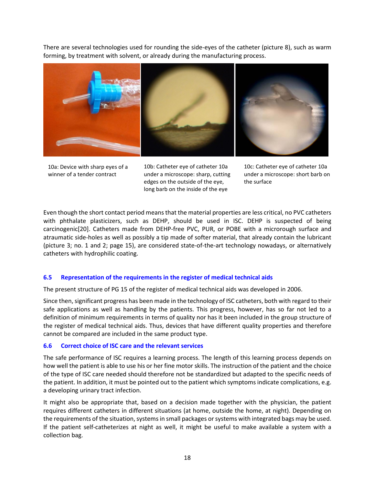There are several technologies used for rounding the side-eyes of the catheter (picture 8), such as warm forming, by treatment with solvent, or already during the manufacturing process.



10a: Device with sharp eyes of a winner of a tender contract

10b: Catheter eye of catheter 10a under a microscope: sharp, cutting edges on the outside of the eye, long barb on the inside of the eye

10c: Catheter eye of catheter 10a under a microscope: short barb on the surface

Even though the short contact period means that the material properties are less critical, no PVC catheters with phthalate plasticizers, such as DEHP, should be used in ISC. DEHP is suspected of being carcinogenic[20]. Catheters made from DEHP-free PVC, PUR, or POBE with a microrough surface and atraumatic side-holes as well as possibly a tip made of softer material, that already contain the lubricant (picture 3; no. 1 and 2; page 15), are considered state-of-the-art technology nowadays, or alternatively catheters with hydrophilic coating.

## <span id="page-17-0"></span>**6.5 Representation of the requirements in the register of medical technical aids**

The present structure of PG 15 of the register of medical technical aids was developed in 2006.

Since then, significant progress has been made in the technology of ISC catheters, both with regard to their safe applications as well as handling by the patients. This progress, however, has so far not led to a definition of minimum requirements in terms of quality nor has it been included in the group structure of the register of medical technical aids. Thus, devices that have different quality properties and therefore cannot be compared are included in the same product type.

### <span id="page-17-1"></span>**6.6 Correct choice of ISC care and the relevant services**

The safe performance of ISC requires a learning process. The length of this learning process depends on how well the patient is able to use his or her fine motor skills. The instruction of the patient and the choice of the type of ISC care needed should therefore not be standardized but adapted to the specific needs of the patient. In addition, it must be pointed out to the patient which symptoms indicate complications, e.g. a developing urinary tract infection.

It might also be appropriate that, based on a decision made together with the physician, the patient requires different catheters in different situations (at home, outside the home, at night). Depending on the requirements of the situation, systems in small packages or systems with integrated bags may be used. If the patient self-catheterizes at night as well, it might be useful to make available a system with a collection bag.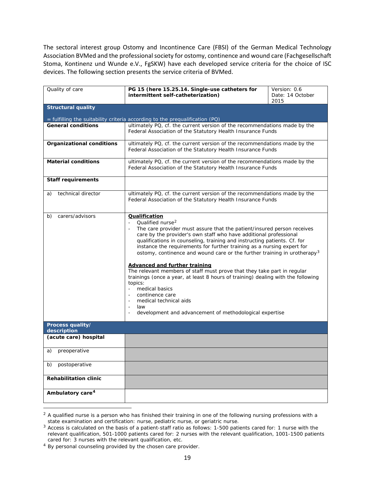The sectoral interest group Ostomy and Incontinence Care (FBSI) of the German Medical Technology Association BVMed and the professional society for ostomy, continence and wound care (Fachgesellschaft Stoma, Kontinenz und Wunde e.V., FgSKW) have each developed service criteria for the choice of ISC devices. The following section presents the service criteria of BVMed.

| Quality of care                  | PG 15 (here 15.25.14. Single-use catheters for                                                                                                                                                                                                                                                                                                                                                                                                                                                                                                                                                                                                                                                                                                                                                                  | Version: 0.6             |
|----------------------------------|-----------------------------------------------------------------------------------------------------------------------------------------------------------------------------------------------------------------------------------------------------------------------------------------------------------------------------------------------------------------------------------------------------------------------------------------------------------------------------------------------------------------------------------------------------------------------------------------------------------------------------------------------------------------------------------------------------------------------------------------------------------------------------------------------------------------|--------------------------|
|                                  | intermittent self-catheterization)                                                                                                                                                                                                                                                                                                                                                                                                                                                                                                                                                                                                                                                                                                                                                                              | Date: 14 October<br>2015 |
| <b>Structural quality</b>        |                                                                                                                                                                                                                                                                                                                                                                                                                                                                                                                                                                                                                                                                                                                                                                                                                 |                          |
|                                  |                                                                                                                                                                                                                                                                                                                                                                                                                                                                                                                                                                                                                                                                                                                                                                                                                 |                          |
|                                  | = fulfilling the suitability criteria according to the prequalification (PQ)                                                                                                                                                                                                                                                                                                                                                                                                                                                                                                                                                                                                                                                                                                                                    |                          |
| <b>General conditions</b>        | ultimately PQ, cf. the current version of the recommendations made by the<br>Federal Association of the Statutory Health Insurance Funds                                                                                                                                                                                                                                                                                                                                                                                                                                                                                                                                                                                                                                                                        |                          |
| <b>Organizational conditions</b> | ultimately PQ, cf. the current version of the recommendations made by the<br>Federal Association of the Statutory Health Insurance Funds                                                                                                                                                                                                                                                                                                                                                                                                                                                                                                                                                                                                                                                                        |                          |
| <b>Material conditions</b>       | ultimately PQ, cf. the current version of the recommendations made by the<br>Federal Association of the Statutory Health Insurance Funds                                                                                                                                                                                                                                                                                                                                                                                                                                                                                                                                                                                                                                                                        |                          |
| <b>Staff requirements</b>        |                                                                                                                                                                                                                                                                                                                                                                                                                                                                                                                                                                                                                                                                                                                                                                                                                 |                          |
| technical director<br>a)         | ultimately PQ, cf. the current version of the recommendations made by the<br>Federal Association of the Statutory Health Insurance Funds                                                                                                                                                                                                                                                                                                                                                                                                                                                                                                                                                                                                                                                                        |                          |
| carers/advisors<br>b)            | Qualification<br>Qualified nurse <sup>2</sup><br>$\blacksquare$<br>The care provider must assure that the patient/insured person receives<br>care by the provider's own staff who have additional professional<br>qualifications in counseling, training and instructing patients. Cf. for<br>instance the requirements for further training as a nursing expert for<br>ostomy, continence and wound care or the further training in urotherapy <sup>3</sup><br><b>Advanced and further training</b><br>The relevant members of staff must prove that they take part in regular<br>trainings (once a year, at least 8 hours of training) dealing with the following<br>topics:<br>medical basics<br>continence care<br>medical technical aids<br>law<br>development and advancement of methodological expertise |                          |
| Process quality/<br>description  |                                                                                                                                                                                                                                                                                                                                                                                                                                                                                                                                                                                                                                                                                                                                                                                                                 |                          |
| (acute care) hospital            |                                                                                                                                                                                                                                                                                                                                                                                                                                                                                                                                                                                                                                                                                                                                                                                                                 |                          |
| preoperative<br>a)               |                                                                                                                                                                                                                                                                                                                                                                                                                                                                                                                                                                                                                                                                                                                                                                                                                 |                          |
| postoperative<br>b)              |                                                                                                                                                                                                                                                                                                                                                                                                                                                                                                                                                                                                                                                                                                                                                                                                                 |                          |
| <b>Rehabilitation clinic</b>     |                                                                                                                                                                                                                                                                                                                                                                                                                                                                                                                                                                                                                                                                                                                                                                                                                 |                          |
| Ambulatory care <sup>4</sup>     |                                                                                                                                                                                                                                                                                                                                                                                                                                                                                                                                                                                                                                                                                                                                                                                                                 |                          |
|                                  |                                                                                                                                                                                                                                                                                                                                                                                                                                                                                                                                                                                                                                                                                                                                                                                                                 |                          |

<span id="page-18-0"></span> $2$  A qualified nurse is a person who has finished their training in one of the following nursing professions with a state examination and certification: nurse, pediatric nurse, or geriatric nurse.

<span id="page-18-1"></span><sup>&</sup>lt;sup>3</sup> Access is calculated on the basis of a patient-staff ratio as follows: 1-500 patients cared for: 1 nurse with the relevant qualification, 501-1000 patients cared for: 2 nurses with the relevant qualification, 1001-1500 patients cared for: 3 nurses with the relevant qualification, etc.

<span id="page-18-2"></span><sup>4</sup> By personal counseling provided by the chosen care provider.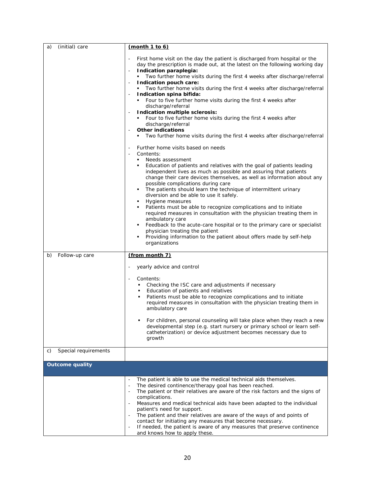| (initial) care<br>a)       | (month 1 to 6)                                                                                                                                                                                                                                                                                                                                                                                                                                                                                                                                                                                                                                                                                                                                                                                                                                                                                                                                                                                                                                                                                                                                                                                                                                                                                                                                                                                                                                                                                                                                                                                                                                            |
|----------------------------|-----------------------------------------------------------------------------------------------------------------------------------------------------------------------------------------------------------------------------------------------------------------------------------------------------------------------------------------------------------------------------------------------------------------------------------------------------------------------------------------------------------------------------------------------------------------------------------------------------------------------------------------------------------------------------------------------------------------------------------------------------------------------------------------------------------------------------------------------------------------------------------------------------------------------------------------------------------------------------------------------------------------------------------------------------------------------------------------------------------------------------------------------------------------------------------------------------------------------------------------------------------------------------------------------------------------------------------------------------------------------------------------------------------------------------------------------------------------------------------------------------------------------------------------------------------------------------------------------------------------------------------------------------------|
|                            | First home visit on the day the patient is discharged from hospital or the<br>$\overline{\phantom{a}}$<br>day the prescription is made out, at the latest on the following working day<br>Indication paraplegia:<br>$\overline{\phantom{a}}$<br>Two further home visits during the first 4 weeks after discharge/referral<br>Indication pouch care:<br>Two further home visits during the first 4 weeks after discharge/referral<br>Indication spina bifida:<br>Four to five further home visits during the first 4 weeks after<br>discharge/referral<br>Indication multiple sclerosis:<br>Four to five further home visits during the first 4 weeks after<br>discharge/referral<br><b>Other indications</b><br>Two further home visits during the first 4 weeks after discharge/referral<br>Further home visits based on needs<br>Contents:<br>$\sim$<br>Needs assessment<br>٠<br>Education of patients and relatives with the goal of patients leading<br>independent lives as much as possible and assuring that patients<br>change their care devices themselves, as well as information about any<br>possible complications during care<br>The patients should learn the technique of intermittent urinary<br>diversion and be able to use it safely.<br>Hygiene measures<br>Patients must be able to recognize complications and to initiate<br>٠<br>required measures in consultation with the physician treating them in<br>ambulatory care<br>Feedback to the acute-care hospital or to the primary care or specialist<br>physician treating the patient<br>Providing information to the patient about offers made by self-help<br>organizations |
| Follow-up care<br>b)       | (from month 7)                                                                                                                                                                                                                                                                                                                                                                                                                                                                                                                                                                                                                                                                                                                                                                                                                                                                                                                                                                                                                                                                                                                                                                                                                                                                                                                                                                                                                                                                                                                                                                                                                                            |
|                            | yearly advice and control<br>Contents:                                                                                                                                                                                                                                                                                                                                                                                                                                                                                                                                                                                                                                                                                                                                                                                                                                                                                                                                                                                                                                                                                                                                                                                                                                                                                                                                                                                                                                                                                                                                                                                                                    |
|                            | Checking the ISC care and adjustments if necessary<br>Education of patients and relatives<br>٠<br>Patients must be able to recognize complications and to initiate<br>required measures in consultation with the physician treating them in<br>ambulatory care                                                                                                                                                                                                                                                                                                                                                                                                                                                                                                                                                                                                                                                                                                                                                                                                                                                                                                                                                                                                                                                                                                                                                                                                                                                                                                                                                                                            |
|                            | For children, personal counseling will take place when they reach a new<br>developmental step (e.g. start nursery or primary school or learn self-<br>catheterization) or device adjustment becomes necessary due to<br>growth                                                                                                                                                                                                                                                                                                                                                                                                                                                                                                                                                                                                                                                                                                                                                                                                                                                                                                                                                                                                                                                                                                                                                                                                                                                                                                                                                                                                                            |
| Special requirements<br>C) |                                                                                                                                                                                                                                                                                                                                                                                                                                                                                                                                                                                                                                                                                                                                                                                                                                                                                                                                                                                                                                                                                                                                                                                                                                                                                                                                                                                                                                                                                                                                                                                                                                                           |
| <b>Outcome quality</b>     |                                                                                                                                                                                                                                                                                                                                                                                                                                                                                                                                                                                                                                                                                                                                                                                                                                                                                                                                                                                                                                                                                                                                                                                                                                                                                                                                                                                                                                                                                                                                                                                                                                                           |
|                            | The patient is able to use the medical technical aids themselves.<br>The desired continence/therapy goal has been reached.<br>$\overline{\phantom{a}}$<br>The patient or their relatives are aware of the risk factors and the signs of<br>complications.<br>Measures and medical technical aids have been adapted to the individual<br>patient's need for support.<br>The patient and their relatives are aware of the ways of and points of<br>contact for initiating any measures that become necessary.<br>If needed, the patient is aware of any measures that preserve continence<br>and knows how to apply these.                                                                                                                                                                                                                                                                                                                                                                                                                                                                                                                                                                                                                                                                                                                                                                                                                                                                                                                                                                                                                                  |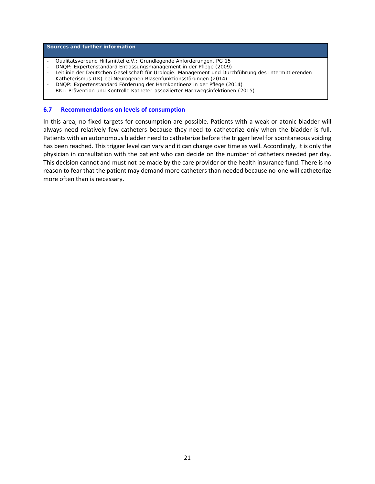#### **Sources and further information**

- Qualitätsverbund Hilfsmittel e.V.: Grundlegende Anforderungen, PG 15
- DNQP: Expertenstandard Entlassungsmanagement in der Pflege (2009)
- Leitlinie der Deutschen Gesellschaft für Urologie: Management und Durchführung des Intermittierenden
- Katheterismus (IK) bei Neurogenen Blasenfunktionsstörungen (2014)
- DNQP: Expertenstandard Förderung der Harnkontinenz in der Pflege (2014)
- RKI: Prävention und Kontrolle Katheter-assoziierter Harnwegsinfektionen (2015)

#### <span id="page-20-0"></span>**6.7 Recommendations on levels of consumption**

In this area, no fixed targets for consumption are possible. Patients with a weak or atonic bladder will always need relatively few catheters because they need to catheterize only when the bladder is full. Patients with an autonomous bladder need to catheterize before the trigger level for spontaneous voiding has been reached. This trigger level can vary and it can change over time as well. Accordingly, it is only the physician in consultation with the patient who can decide on the number of catheters needed per day. This decision cannot and must not be made by the care provider or the health insurance fund. There is no reason to fear that the patient may demand more catheters than needed because no-one will catheterize more often than is necessary.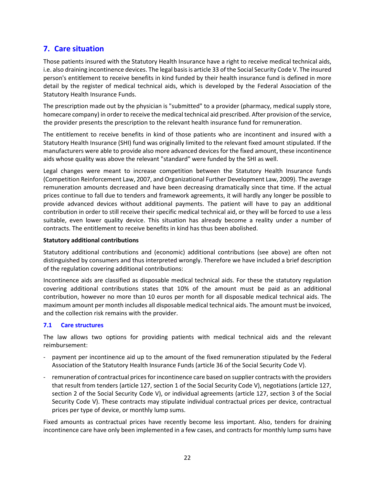# <span id="page-21-0"></span>**7. Care situation**

Those patients insured with the Statutory Health Insurance have a right to receive medical technical aids, i.e. also draining incontinence devices. The legal basis is article 33 of the Social Security Code V. The insured person's entitlement to receive benefits in kind funded by their health insurance fund is defined in more detail by the register of medical technical aids, which is developed by the Federal Association of the Statutory Health Insurance Funds.

The prescription made out by the physician is "submitted" to a provider (pharmacy, medical supply store, homecare company) in order to receive the medical technical aid prescribed. After provision of the service, the provider presents the prescription to the relevant health insurance fund for remuneration.

The entitlement to receive benefits in kind of those patients who are incontinent and insured with a Statutory Health Insurance (SHI) fund was originally limited to the relevant fixed amount stipulated. If the manufacturers were able to provide also more advanced devices for the fixed amount, these incontinence aids whose quality was above the relevant "standard" were funded by the SHI as well.

Legal changes were meant to increase competition between the Statutory Health Insurance funds (Competition Reinforcement Law, 2007, and Organizational Further Development Law, 2009). The average remuneration amounts decreased and have been decreasing dramatically since that time. If the actual prices continue to fall due to tenders and framework agreements, it will hardly any longer be possible to provide advanced devices without additional payments. The patient will have to pay an additional contribution in order to still receive their specific medical technical aid, or they will be forced to use a less suitable, even lower quality device. This situation has already become a reality under a number of contracts. The entitlement to receive benefits in kind has thus been abolished.

### **Statutory additional contributions**

Statutory additional contributions and (economic) additional contributions (see above) are often not distinguished by consumers and thus interpreted wrongly. Therefore we have included a brief description of the regulation covering additional contributions:

Incontinence aids are classified as disposable medical technical aids. For these the statutory regulation covering additional contributions states that 10% of the amount must be paid as an additional contribution, however no more than 10 euros per month for all disposable medical technical aids. The maximum amount per month includes all disposable medical technical aids. The amount must be invoiced, and the collection risk remains with the provider.

## <span id="page-21-1"></span>**7.1 Care structures**

The law allows two options for providing patients with medical technical aids and the relevant reimbursement:

- payment per incontinence aid up to the amount of the fixed remuneration stipulated by the Federal Association of the Statutory Health Insurance Funds (article 36 of the Social Security Code V).
- remuneration of contractual prices for incontinence care based on supplier contracts with the providers that result from tenders (article 127, section 1 of the Social Security Code V), negotiations (article 127, section 2 of the Social Security Code V), or individual agreements (article 127, section 3 of the Social Security Code V). These contracts may stipulate individual contractual prices per device, contractual prices per type of device, or monthly lump sums.

Fixed amounts as contractual prices have recently become less important. Also, tenders for draining incontinence care have only been implemented in a few cases, and contracts for monthly lump sums have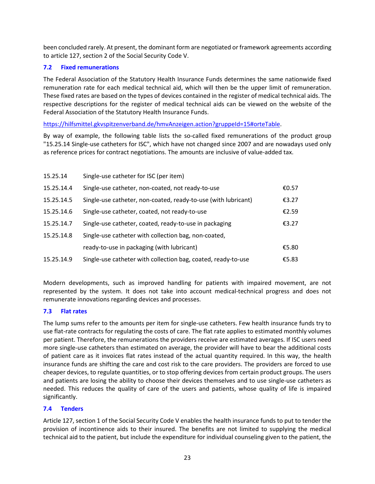been concluded rarely. At present, the dominant form are negotiated or framework agreements according to article 127, section 2 of the Social Security Code V.

# <span id="page-22-0"></span>**7.2 Fixed remunerations**

The Federal Association of the Statutory Health Insurance Funds determines the same nationwide fixed remuneration rate for each medical technical aid, which will then be the upper limit of remuneration. These fixed rates are based on the types of devices contained in the register of medical technical aids. The respective descriptions for the register of medical technical aids can be viewed on the website of the Federal Association of the Statutory Health Insurance Funds.

[https://hilfsmittel.gkvspitzenverband.de/hmvAnzeigen.action?gruppeId=15#orteTable.](https://hilfsmittel.gkvspitzenverband.de/hmvAnzeigen.action?gruppeId=15#orteTable)

By way of example, the following table lists the so-called fixed remunerations of the product group "15.25.14 Single-use catheters for ISC", which have not changed since 2007 and are nowadays used only as reference prices for contract negotiations. The amounts are inclusive of value-added tax.

| 15.25.14   | Single-use catheter for ISC (per item)                         |       |
|------------|----------------------------------------------------------------|-------|
| 15.25.14.4 | Single-use catheter, non-coated, not ready-to-use              | €0.57 |
| 15.25.14.5 | Single-use catheter, non-coated, ready-to-use (with lubricant) | £3.27 |
| 15.25.14.6 | Single-use catheter, coated, not ready-to-use                  | €2.59 |
| 15.25.14.7 | Single-use catheter, coated, ready-to-use in packaging         | £3.27 |
| 15.25.14.8 | Single-use catheter with collection bag, non-coated,           |       |
|            | ready-to-use in packaging (with lubricant)                     | €5.80 |
| 15.25.14.9 | Single-use catheter with collection bag, coated, ready-to-use  | €5.83 |

Modern developments, such as improved handling for patients with impaired movement, are not represented by the system. It does not take into account medical-technical progress and does not remunerate innovations regarding devices and processes.

## <span id="page-22-1"></span>**7.3 Flat rates**

The lump sums refer to the amounts per item for single-use catheters. Few health insurance funds try to use flat-rate contracts for regulating the costs of care. The flat rate applies to estimated monthly volumes per patient. Therefore, the remunerations the providers receive are estimated averages. If ISC users need more single-use catheters than estimated on average, the provider will have to bear the additional costs of patient care as it invoices flat rates instead of the actual quantity required. In this way, the health insurance funds are shifting the care and cost risk to the care providers. The providers are forced to use cheaper devices, to regulate quantities, or to stop offering devices from certain product groups. The users and patients are losing the ability to choose their devices themselves and to use single-use catheters as needed. This reduces the quality of care of the users and patients, whose quality of life is impaired significantly.

## <span id="page-22-2"></span>**7.4 Tenders**

Article 127, section 1 of the Social Security Code V enables the health insurance funds to put to tender the provision of incontinence aids to their insured. The benefits are not limited to supplying the medical technical aid to the patient, but include the expenditure for individual counseling given to the patient, the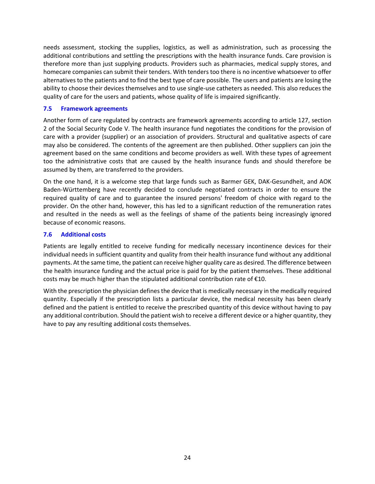needs assessment, stocking the supplies, logistics, as well as administration, such as processing the additional contributions and settling the prescriptions with the health insurance funds. Care provision is therefore more than just supplying products. Providers such as pharmacies, medical supply stores, and homecare companies can submit their tenders. With tenders too there is no incentive whatsoever to offer alternatives to the patients and to find the best type of care possible. The users and patients are losing the ability to choose their devices themselves and to use single-use catheters as needed. This also reduces the quality of care for the users and patients, whose quality of life is impaired significantly.

### <span id="page-23-0"></span>**7.5 Framework agreements**

Another form of care regulated by contracts are framework agreements according to article 127, section 2 of the Social Security Code V. The health insurance fund negotiates the conditions for the provision of care with a provider (supplier) or an association of providers. Structural and qualitative aspects of care may also be considered. The contents of the agreement are then published. Other suppliers can join the agreement based on the same conditions and become providers as well. With these types of agreement too the administrative costs that are caused by the health insurance funds and should therefore be assumed by them, are transferred to the providers.

On the one hand, it is a welcome step that large funds such as Barmer GEK, DAK-Gesundheit, and AOK Baden-Württemberg have recently decided to conclude negotiated contracts in order to ensure the required quality of care and to guarantee the insured persons' freedom of choice with regard to the provider. On the other hand, however, this has led to a significant reduction of the remuneration rates and resulted in the needs as well as the feelings of shame of the patients being increasingly ignored because of economic reasons.

### <span id="page-23-1"></span>**7.6 Additional costs**

Patients are legally entitled to receive funding for medically necessary incontinence devices for their individual needs in sufficient quantity and quality from their health insurance fund without any additional payments. At the same time, the patient can receive higher quality care as desired. The difference between the health insurance funding and the actual price is paid for by the patient themselves. These additional costs may be much higher than the stipulated additional contribution rate of €10.

With the prescription the physician defines the device that is medically necessary in the medically required quantity. Especially if the prescription lists a particular device, the medical necessity has been clearly defined and the patient is entitled to receive the prescribed quantity of this device without having to pay any additional contribution. Should the patient wish to receive a different device or a higher quantity, they have to pay any resulting additional costs themselves.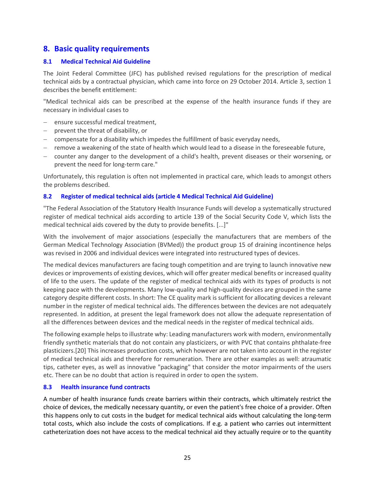# <span id="page-24-0"></span>**8. Basic quality requirements**

### <span id="page-24-1"></span>**8.1 Medical Technical Aid Guideline**

The Joint Federal Committee (JFC) has published revised regulations for the prescription of medical technical aids by a contractual physician, which came into force on 29 October 2014. Article 3, section 1 describes the benefit entitlement:

"Medical technical aids can be prescribed at the expense of the health insurance funds if they are necessary in individual cases to

- ensure successful medical treatment,
- prevent the threat of disability, or
- − compensate for a disability which impedes the fulfillment of basic everyday needs,
- − remove a weakening of the state of health which would lead to a disease in the foreseeable future,
- − counter any danger to the development of a child's health, prevent diseases or their worsening, or prevent the need for long-term care."

Unfortunately, this regulation is often not implemented in practical care, which leads to amongst others the problems described.

### <span id="page-24-2"></span>**8.2 Register of medical technical aids (article 4 Medical Technical Aid Guideline)**

"The Federal Association of the Statutory Health Insurance Funds will develop a systematically structured register of medical technical aids according to article 139 of the Social Security Code V, which lists the medical technical aids covered by the duty to provide benefits. [...]"

With the involvement of major associations (especially the manufacturers that are members of the German Medical Technology Association (BVMed)) the product group 15 of draining incontinence helps was revised in 2006 and individual devices were integrated into restructured types of devices.

The medical devices manufacturers are facing tough competition and are trying to launch innovative new devices or improvements of existing devices, which will offer greater medical benefits or increased quality of life to the users. The update of the register of medical technical aids with its types of products is not keeping pace with the developments. Many low-quality and high-quality devices are grouped in the same category despite different costs. In short: The CE quality mark is sufficient for allocating devices a relevant number in the register of medical technical aids. The differences between the devices are not adequately represented. In addition, at present the legal framework does not allow the adequate representation of all the differences between devices and the medical needs in the register of medical technical aids.

The following example helps to illustrate why: Leading manufacturers work with modern, environmentally friendly synthetic materials that do not contain any plasticizers, or with PVC that contains phthalate-free plasticizers.[20] This increases production costs, which however are not taken into account in the register of medical technical aids and therefore for remuneration. There are other examples as well: atraumatic tips, catheter eyes, as well as innovative "packaging" that consider the motor impairments of the users etc. There can be no doubt that action is required in order to open the system.

### <span id="page-24-3"></span>**8.3 Health insurance fund contracts**

A number of health insurance funds create barriers within their contracts, which ultimately restrict the choice of devices, the medically necessary quantity, or even the patient's free choice of a provider. Often this happens only to cut costs in the budget for medical technical aids without calculating the long-term total costs, which also include the costs of complications. If e.g. a patient who carries out intermittent catheterization does not have access to the medical technical aid they actually require or to the quantity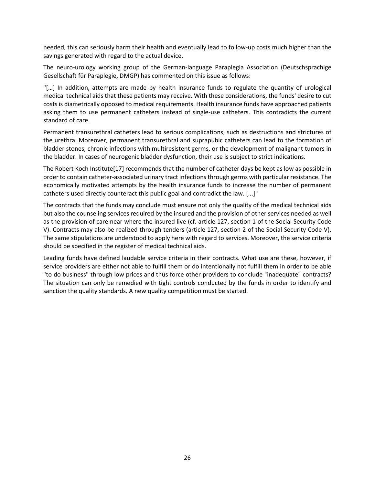needed, this can seriously harm their health and eventually lead to follow-up costs much higher than the savings generated with regard to the actual device.

The neuro-urology working group of the German-language Paraplegia Association (Deutschsprachige Gesellschaft für Paraplegie, DMGP) has commented on this issue as follows:

"[…] In addition, attempts are made by health insurance funds to regulate the quantity of urological medical technical aids that these patients may receive. With these considerations, the funds' desire to cut costs is diametrically opposed to medical requirements. Health insurance funds have approached patients asking them to use permanent catheters instead of single-use catheters. This contradicts the current standard of care.

Permanent transurethral catheters lead to serious complications, such as destructions and strictures of the urethra. Moreover, permanent transurethral and suprapubic catheters can lead to the formation of bladder stones, chronic infections with multiresistent germs, or the development of malignant tumors in the bladder. In cases of neurogenic bladder dysfunction, their use is subject to strict indications.

The Robert Koch Institute[17] recommends that the number of catheter days be kept as low as possible in order to contain catheter-associated urinary tract infections through germs with particular resistance. The economically motivated attempts by the health insurance funds to increase the number of permanent catheters used directly counteract this public goal and contradict the law. [...]"

The contracts that the funds may conclude must ensure not only the quality of the medical technical aids but also the counseling services required by the insured and the provision of other services needed as well as the provision of care near where the insured live (cf. article 127, section 1 of the Social Security Code V). Contracts may also be realized through tenders (article 127, section 2 of the Social Security Code V). The same stipulations are understood to apply here with regard to services. Moreover, the service criteria should be specified in the register of medical technical aids.

Leading funds have defined laudable service criteria in their contracts. What use are these, however, if service providers are either not able to fulfill them or do intentionally not fulfill them in order to be able "to do business" through low prices and thus force other providers to conclude "inadequate" contracts? The situation can only be remedied with tight controls conducted by the funds in order to identify and sanction the quality standards. A new quality competition must be started.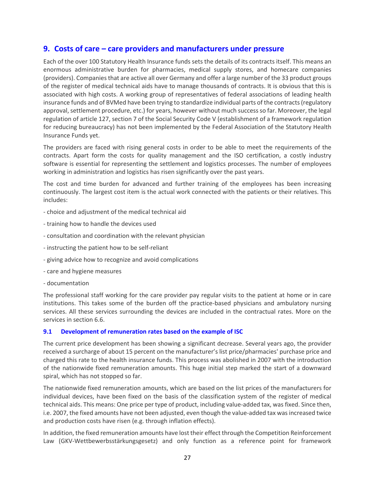# <span id="page-26-0"></span>**9. Costs of care – care providers and manufacturers under pressure**

Each of the over 100 Statutory Health Insurance funds sets the details of its contracts itself. This means an enormous administrative burden for pharmacies, medical supply stores, and homecare companies (providers). Companies that are active all over Germany and offer a large number of the 33 product groups of the register of medical technical aids have to manage thousands of contracts. It is obvious that this is associated with high costs. A working group of representatives of federal associations of leading health insurance funds and of BVMed have been trying to standardize individual parts of the contracts (regulatory approval, settlement procedure, etc.) for years, however without much success so far. Moreover, the legal regulation of article 127, section 7 of the Social Security Code V (establishment of a framework regulation for reducing bureaucracy) has not been implemented by the Federal Association of the Statutory Health Insurance Funds yet.

The providers are faced with rising general costs in order to be able to meet the requirements of the contracts. Apart form the costs for quality management and the ISO certification, a costly industry software is essential for representing the settlement and logistics processes. The number of employees working in administration and logistics has risen significantly over the past years.

The cost and time burden for advanced and further training of the employees has been increasing continuously. The largest cost item is the actual work connected with the patients or their relatives. This includes:

- choice and adjustment of the medical technical aid
- training how to handle the devices used
- consultation and coordination with the relevant physician
- instructing the patient how to be self-reliant
- giving advice how to recognize and avoid complications
- care and hygiene measures
- documentation

The professional staff working for the care provider pay regular visits to the patient at home or in care institutions. This takes some of the burden off the practice-based physicians and ambulatory nursing services. All these services surrounding the devices are included in the contractual rates. More on the services in section 6.6.

## <span id="page-26-1"></span>**9.1 Development of remuneration rates based on the example of ISC**

The current price development has been showing a significant decrease. Several years ago, the provider received a surcharge of about 15 percent on the manufacturer's list price/pharmacies' purchase price and charged this rate to the health insurance funds. This process was abolished in 2007 with the introduction of the nationwide fixed remuneration amounts. This huge initial step marked the start of a downward spiral, which has not stopped so far.

The nationwide fixed remuneration amounts, which are based on the list prices of the manufacturers for individual devices, have been fixed on the basis of the classification system of the register of medical technical aids. This means: One price per type of product, including value-added tax, was fixed. Since then, i.e. 2007, the fixed amounts have not been adjusted, even though the value-added tax was increased twice and production costs have risen (e.g. through inflation effects).

In addition, the fixed remuneration amounts have lost their effect through the Competition Reinforcement Law (GKV-Wettbewerbsstärkungsgesetz) and only function as a reference point for framework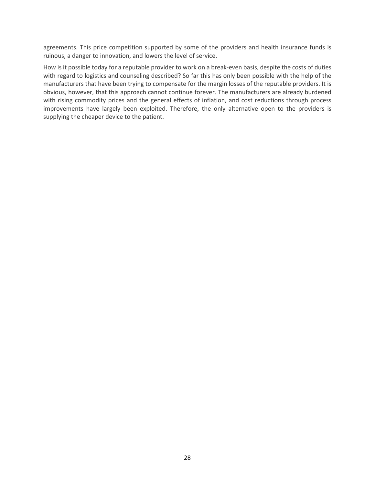agreements. This price competition supported by some of the providers and health insurance funds is ruinous, a danger to innovation, and lowers the level of service.

How is it possible today for a reputable provider to work on a break-even basis, despite the costs of duties with regard to logistics and counseling described? So far this has only been possible with the help of the manufacturers that have been trying to compensate for the margin losses of the reputable providers. It is obvious, however, that this approach cannot continue forever. The manufacturers are already burdened with rising commodity prices and the general effects of inflation, and cost reductions through process improvements have largely been exploited. Therefore, the only alternative open to the providers is supplying the cheaper device to the patient.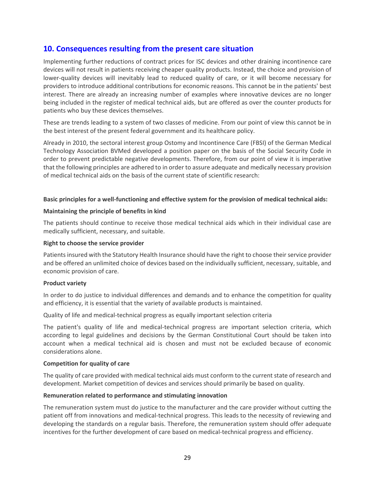# <span id="page-28-0"></span>**10. Consequences resulting from the present care situation**

Implementing further reductions of contract prices for ISC devices and other draining incontinence care devices will not result in patients receiving cheaper quality products. Instead, the choice and provision of lower-quality devices will inevitably lead to reduced quality of care, or it will become necessary for providers to introduce additional contributions for economic reasons. This cannot be in the patients' best interest. There are already an increasing number of examples where innovative devices are no longer being included in the register of medical technical aids, but are offered as over the counter products for patients who buy these devices themselves.

These are trends leading to a system of two classes of medicine. From our point of view this cannot be in the best interest of the present federal government and its healthcare policy.

Already in 2010, the sectoral interest group Ostomy and Incontinence Care (FBSI) of the German Medical Technology Association BVMed developed a position paper on the basis of the Social Security Code in order to prevent predictable negative developments. Therefore, from our point of view it is imperative that the following principles are adhered to in order to assure adequate and medically necessary provision of medical technical aids on the basis of the current state of scientific research:

### **Basic principles for a well-functioning and effective system for the provision of medical technical aids:**

#### **Maintaining the principle of benefits in kind**

The patients should continue to receive those medical technical aids which in their individual case are medically sufficient, necessary, and suitable.

#### **Right to choose the service provider**

Patients insured with the Statutory Health Insurance should have the right to choose their service provider and be offered an unlimited choice of devices based on the individually sufficient, necessary, suitable, and economic provision of care.

#### **Product variety**

In order to do justice to individual differences and demands and to enhance the competition for quality and efficiency, it is essential that the variety of available products is maintained.

Quality of life and medical-technical progress as equally important selection criteria

The patient's quality of life and medical-technical progress are important selection criteria, which according to legal guidelines and decisions by the German Constitutional Court should be taken into account when a medical technical aid is chosen and must not be excluded because of economic considerations alone.

#### **Competition for quality of care**

The quality of care provided with medical technical aids must conform to the current state of research and development. Market competition of devices and services should primarily be based on quality.

### **Remuneration related to performance and stimulating innovation**

The remuneration system must do justice to the manufacturer and the care provider without cutting the patient off from innovations and medical-technical progress. This leads to the necessity of reviewing and developing the standards on a regular basis. Therefore, the remuneration system should offer adequate incentives for the further development of care based on medical-technical progress and efficiency.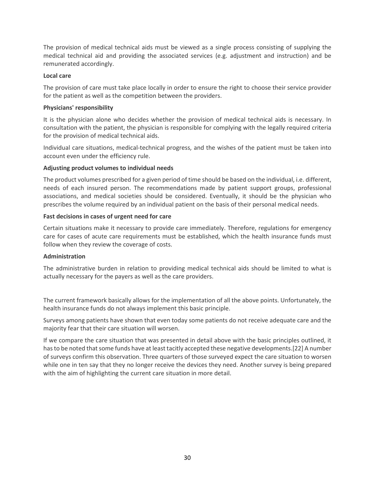The provision of medical technical aids must be viewed as a single process consisting of supplying the medical technical aid and providing the associated services (e.g. adjustment and instruction) and be remunerated accordingly.

### **Local care**

The provision of care must take place locally in order to ensure the right to choose their service provider for the patient as well as the competition between the providers.

### **Physicians' responsibility**

It is the physician alone who decides whether the provision of medical technical aids is necessary. In consultation with the patient, the physician is responsible for complying with the legally required criteria for the provision of medical technical aids.

Individual care situations, medical-technical progress, and the wishes of the patient must be taken into account even under the efficiency rule.

### **Adjusting product volumes to individual needs**

The product volumes prescribed for a given period of time should be based on the individual, i.e. different, needs of each insured person. The recommendations made by patient support groups, professional associations, and medical societies should be considered. Eventually, it should be the physician who prescribes the volume required by an individual patient on the basis of their personal medical needs.

### **Fast decisions in cases of urgent need for care**

Certain situations make it necessary to provide care immediately. Therefore, regulations for emergency care for cases of acute care requirements must be established, which the health insurance funds must follow when they review the coverage of costs.

### **Administration**

The administrative burden in relation to providing medical technical aids should be limited to what is actually necessary for the payers as well as the care providers.

The current framework basically allows for the implementation of all the above points. Unfortunately, the health insurance funds do not always implement this basic principle.

Surveys among patients have shown that even today some patients do not receive adequate care and the majority fear that their care situation will worsen.

If we compare the care situation that was presented in detail above with the basic principles outlined, it has to be noted that some funds have at least tacitly accepted these negative developments.[22] A number of surveys confirm this observation. Three quarters of those surveyed expect the care situation to worsen while one in ten say that they no longer receive the devices they need. Another survey is being prepared with the aim of highlighting the current care situation in more detail.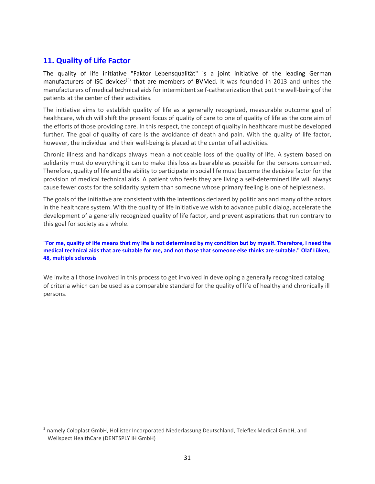# <span id="page-30-0"></span>**11. Quality of Life Factor**

The quality of life initiative "Faktor Lebensqualität" is a joint initiative of the leading German manufacturers of ISC devices<sup>(5)</sup> that are members of BVMed. It was founded in 2013 and unites the manufacturers of medical technical aids for intermittent self-catheterization that put the well-being of the patients at the center of their activities.

The initiative aims to establish quality of life as a generally recognized, measurable outcome goal of healthcare, which will shift the present focus of quality of care to one of quality of life as the core aim of the efforts of those providing care. In this respect, the concept of quality in healthcare must be developed further. The goal of quality of care is the avoidance of death and pain. With the quality of life factor, however, the individual and their well-being is placed at the center of all activities.

Chronic illness and handicaps always mean a noticeable loss of the quality of life. A system based on solidarity must do everything it can to make this loss as bearable as possible for the persons concerned. Therefore, quality of life and the ability to participate in social life must become the decisive factor for the provision of medical technical aids. A patient who feels they are living a self-determined life will always cause fewer costs for the solidarity system than someone whose primary feeling is one of helplessness.

The goals of the initiative are consistent with the intentions declared by politicians and many of the actors in the healthcare system. With the quality of life initiative we wish to advance public dialog, accelerate the development of a generally recognized quality of life factor, and prevent aspirations that run contrary to this goal for society as a whole.

**["For me, quality of life means that my life is not determined by my condition but by myself. Therefore, I need the](http://www.bvmed.de/de/versorgung/hilfsmittel/faktor-lebensqualitaet/isk-faktor-lebensqualitaet-anwendergeschichte-lueken)  [medical technical aids that are suitable for me, and not those that someone else thinks are suitable." Olaf Lüken,](http://www.bvmed.de/de/versorgung/hilfsmittel/faktor-lebensqualitaet/isk-faktor-lebensqualitaet-anwendergeschichte-lueken)  [48, multiple sclerosis](http://www.bvmed.de/de/versorgung/hilfsmittel/faktor-lebensqualitaet/isk-faktor-lebensqualitaet-anwendergeschichte-lueken)**

We invite all those involved in this process to get involved in developing a generally recognized catalog of criteria which can be used as a comparable standard for the quality of life of healthy and chronically ill persons.

<span id="page-30-1"></span> <sup>5</sup> namely Coloplast GmbH, Hollister Incorporated Niederlassung Deutschland, Teleflex Medical GmbH, and Wellspect HealthCare (DENTSPLY IH GmbH)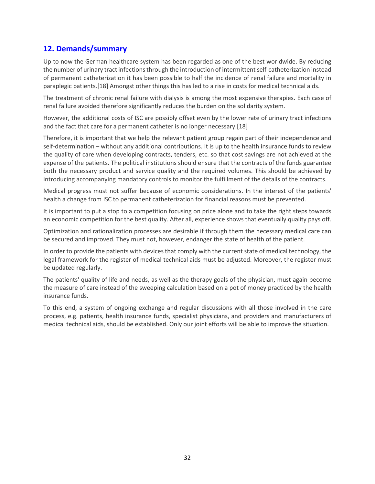# <span id="page-31-0"></span>**12. Demands/summary**

Up to now the German healthcare system has been regarded as one of the best worldwide. By reducing the number of urinary tract infections through the introduction of intermittent self-catheterization instead of permanent catheterization it has been possible to half the incidence of renal failure and mortality in paraplegic patients.[18] Amongst other things this has led to a rise in costs for medical technical aids.

The treatment of chronic renal failure with dialysis is among the most expensive therapies. Each case of renal failure avoided therefore significantly reduces the burden on the solidarity system.

However, the additional costs of ISC are possibly offset even by the lower rate of urinary tract infections and the fact that care for a permanent catheter is no longer necessary.[18]

Therefore, it is important that we help the relevant patient group regain part of their independence and self-determination – without any additional contributions. It is up to the health insurance funds to review the quality of care when developing contracts, tenders, etc. so that cost savings are not achieved at the expense of the patients. The political institutions should ensure that the contracts of the funds guarantee both the necessary product and service quality and the required volumes. This should be achieved by introducing accompanying mandatory controls to monitor the fulfillment of the details of the contracts.

Medical progress must not suffer because of economic considerations. In the interest of the patients' health a change from ISC to permanent catheterization for financial reasons must be prevented.

It is important to put a stop to a competition focusing on price alone and to take the right steps towards an economic competition for the best quality. After all, experience shows that eventually quality pays off.

Optimization and rationalization processes are desirable if through them the necessary medical care can be secured and improved. They must not, however, endanger the state of health of the patient.

In order to provide the patients with devices that comply with the current state of medical technology, the legal framework for the register of medical technical aids must be adjusted. Moreover, the register must be updated regularly.

The patients' quality of life and needs, as well as the therapy goals of the physician, must again become the measure of care instead of the sweeping calculation based on a pot of money practiced by the health insurance funds.

To this end, a system of ongoing exchange and regular discussions with all those involved in the care process, e.g. patients, health insurance funds, specialist physicians, and providers and manufacturers of medical technical aids, should be established. Only our joint efforts will be able to improve the situation.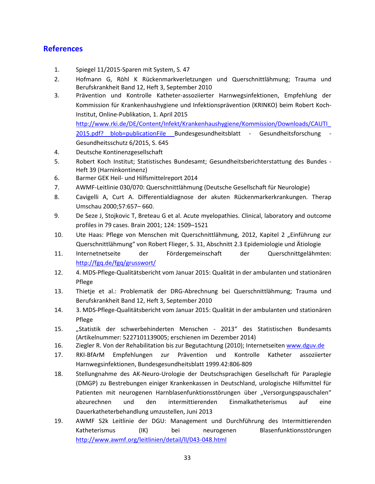# <span id="page-32-0"></span>**References**

- 1. Spiegel 11/2015-Sparen mit System, S. 47
- 2. Hofmann G, Röhl K Rückenmarkverletzungen und Querschnittlähmung; Trauma und Berufskrankheit Band 12, Heft 3, September 2010
- 3. Prävention und Kontrolle Katheter-assoziierter Harnwegsinfektionen, Empfehlung der Kommission für Krankenhaushygiene und Infektionsprävention (KRINKO) beim Robert Koch-Institut, Online-Publikation, 1. April 2015 [http://www.rki.de/DE/Content/Infekt/Krankenhaushygiene/Kommission/Downloads/CAUTI\\_](http://www.rki.de/DE/Content/Infekt/Krankenhaushygiene/Kommission/Downloads/CAUTI_2015.pdf?__blob=publicationFile) 2015.pdf? blob=publicationFile Bundesgesundheitsblatt - Gesundheitsforschung -
- 4. Deutsche Kontinenzgesellschaft
- 5. Robert Koch Institut; Statistisches Bundesamt; Gesundheitsberichterstattung des Bundes Heft 39 (Harninkontinenz)
- 6. Barmer GEK Heil- und Hilfsmittelreport 2014

Gesundheitsschutz 6/2015, S. 645

- 7. AWMF-Leitlinie 030/070: Querschnittlähmung (Deutsche Gesellschaft für Neurologie)
- 8. Cavigelli A, Curt A. Differentialdiagnose der akuten Rückenmarkerkrankungen. Therap Umschau 2000;57:657– 660.
- 9. De Seze J, Stojkovic T, Breteau G et al. Acute myelopathies. Clinical, laboratory and outcome profiles in 79 cases. Brain 2001; 124: 1509–1521
- 10. Ute Haas: Pflege von Menschen mit Querschnittlähmung, 2012, Kapitel 2 "Einführung zur Querschnittlähmung" von Robert Flieger, S. 31, Abschnitt 2.3 Epidemiologie und Ätiologie
- 11. Internetnetseite der Fördergemeinschaft der Querschnittgelähmten: <http://fgq.de/fgq/grusswort/>
- 12. 4. MDS-Pflege-Qualitätsbericht vom Januar 2015: Qualität in der ambulanten und stationären Pflege
- 13. Thietje et al.: Problematik der DRG-Abrechnung bei Querschnittlähmung; Trauma und Berufskrankheit Band 12, Heft 3, September 2010
- 14. 3. MDS-Pflege-Qualitätsbericht vom Januar 2015: Qualität in der ambulanten und stationären Pflege
- 15. "Statistik der schwerbehinderten Menschen 2013" des Statistischen Bundesamts (Artikelnummer: 5227101139005; erschienen im Dezember 2014)
- 16. Ziegler R. Von der Rehabilitation bis zur Begutachtung (2010); Internetseiten [www.dguv.de](http://www.dguv.de/)
- 17. RKI-BfArM Empfehlungen zur Prävention und Kontrolle Katheter assoziierter Harnwegsinfektionen, Bundesgesundheitsblatt 1999.42:806-809
- 18. Stellungnahme des AK-Neuro-Urologie der Deutschsprachigen Gesellschaft für Paraplegie (DMGP) zu Bestrebungen einiger Krankenkassen in Deutschland, urologische Hilfsmittel für Patienten mit neurogenen Harnblasenfunktionsstörungen über "Versorgungspauschalen" abzurechnen und den intermittierenden Einmalkatheterismus auf eine Dauerkatheterbehandlung umzustellen, Juni 2013
- 19. AWMF S2k Leitlinie der DGU: Management und Durchführung des Intermittierenden Katheterismus (IK) bei neurogenen Blasenfunktionsstörungen <http://www.awmf.org/leitlinien/detail/ll/043-048.html>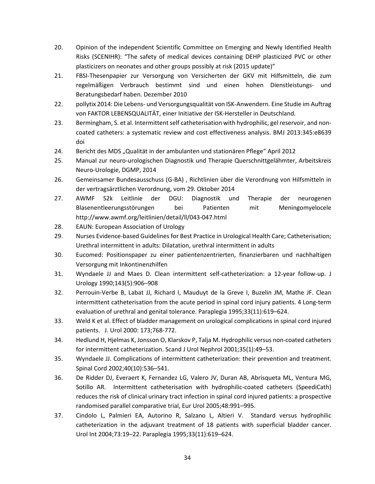- 20. Opinion of the independent Scientific Committee on Emerging and Newly Identified Health Risks (SCENIHR): "The safety of medical devices containing DEHP plasticized PVC or other plasticizers on neonates and other groups possibly at risk (2015 update)"
- 21. FBSI-Thesenpapier zur Versorgung von Versicherten der GKV mit Hilfsmitteln, die zum regelmäßigen Verbrauch bestimmt sind und einen hohen Dienstleistungs- und Beratungsbedarf haben. Dezember 2010
- 22. pollytix 2014: Die Lebens- und Versorgungsqualität von ISK-Anwendern. Eine Studie im Auftrag von FAKTOR LEBENSQUALITÄT, einer Initiative der ISK-Hersteller in Deutschland.
- 23. Bermingham, S. et al. Intermittent self catheterisation with hydrophilic, gel reservoir, and noncoated catheters: a systematic review and cost effectiveness analysis. BMJ 2013:345:e8639 doi
- 24. Bericht des MDS "Qualität in der ambulanten und stationären Pflege" April 2012
- 25. Manual zur neuro-urologischen Diagnostik und Therapie Querschnittgelähmter, Arbeitskreis Neuro-Urologie, DGMP, 2014
- 26. Gemeinsamer Bundesausschuss (G-BA) , Richtlinien über die Verordnung von Hilfsmitteln in der vertragsärztlichen Verordnung, vom 29. Oktober 2014
- 27. AWMF S2k Leitlinie der DGU: Diagnostik und Therapie der neurogenen Blasenentleerungsstörungen bei Patienten mit Meningomyelocele http://www.awmf.org/leitlinien/detail/ll/043-047.html
- 28. EAUN: European Association of Urology
- 29. Nurses Evidence-based Guidelines for Best Practice in Urological Health Care; Catheterisation; Urethral intermittent in adults: Dilatation, urethral intermittent in adults
- 30. Eucomed: Positionspaper zu einer patientenzentrierten, finanzierbaren und nachhaltigen Versorgung mit Inkontinenzhilfen
- 31. Wyndaele JJ and Maes D. Clean intermittent self-catheterization: a 12-year follow-up. J Urology 1990;143(5):906–908
- 32. Perrouin-Verbe B, Labat JJ, Richard I, Mauduyt de la Greve I, Buzelin JM, Mathe JF. Clean intermittent catheterisation from the acute period in spinal cord injury patients. 4 Long-term evaluation of urethral and genital tolerance. Paraplegia 1995;33(11):619–624.
- 33. Weld K et al. Effect of bladder management on urological complications in spinal cord injured patients. J. Urol 2000: 173;768-772.
- 34. Hedlund H, Hjelmas K, Jonsson O, Klarskov P, Talja M. Hydrophilic versus non-coated catheters for intermittent catheterization. Scand J Urol Nephrol 2001;35(1):49–53.
- 35. Wyndaele JJ. Complications of intermittent catheterization: their prevention and treatment. Spinal Cord 2002;40(10):536–541.
- 36. De Ridder DJ, Everaert K, Fernandez LG, Valero JV, Duran AB, Abrisqueta ML, Ventura MG, Sotillo AR. Intermittent catheterisation with hydrophilic-coated catheters (SpeediCath) reduces the risk of clinical urinary tract infection in spinal cord injured patients: a prospective randomised parallel comparative trial, Eur Urol 2005;48:991–995.
- 37. Cindolo L, Palmieri EA, Autorino R, Salzano L, Altieri V. Standard versus hydrophilic catheterization in the adjuvant treatment of 18 patients with superficial bladder cancer. Urol Int 2004;73:19–22. Paraplegia 1995;33(11):619–624.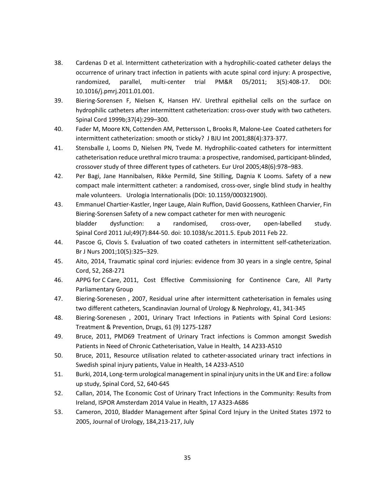- 38. Cardenas D et al. Intermittent catheterization with a hydrophilic-coated catheter delays the occurrence of urinary tract infection in patients with acute spinal cord injury: A prospective, randomized, parallel, multi-center trial PM&R 05/2011; 3(5):408-17. DOI: 10.1016/j.pmrj.2011.01.001.
- 39. Biering-Sorensen F, Nielsen K, Hansen HV. Urethral epithelial cells on the surface on hydrophilic catheters after intermittent catheterization: cross-over study with two catheters. Spinal Cord 1999b;37(4):299–300.
- 40. Fader M, Moore KN, Cottenden AM, Pettersson L, Brooks R, Malone-Lee Coated catheters for intermittent catheterization: smooth or sticky? J BJU Int 2001;88(4):373-377.
- 41. Stensballe J, Looms D, Nielsen PN, Tvede M. Hydrophilic-coated catheters for intermittent catheterisation reduce urethral micro trauma: a prospective, randomised, participant-blinded, crossover study of three different types of catheters. Eur Urol 2005;48(6):978–983.
- 42. Per Bagi, Jane Hannibalsen, Rikke Permild, Sine Stilling, Dagnia K Looms. Safety of a new compact male intermittent catheter: a randomised, cross-over, single blind study in healthy male volunteers. Urologia Internationalis (DOI: 10.1159/000321900).
- 43. Emmanuel Chartier-Kastler, Inger Lauge, Alain Ruffion, David Goossens, Kathleen Charvier, Fin Biering-Sorensen Safety of a new compact catheter for men with neurogenic bladder dysfunction: a randomised, cross-over, open-labelled study. Spinal Cord 2011 Jul;49(7):844-50. doi: 10.1038/sc.2011.5. Epub 2011 Feb 22.
- 44. Pascoe G, Clovis S. Evaluation of two coated catheters in intermittent self-catheterization. Br J Nurs 2001;10(5):325–329.
- 45. Aito, 2014, Traumatic spinal cord injuries: evidence from 30 years in a single centre, Spinal Cord, 52, 268-271
- 46. APPG for C Care, 2011, Cost Effective Commissioning for Continence Care, All Party Parliamentary Group
- 47. Biering-Sorenesen , 2007, Residual urine after intermittent catheterisation in females using two different catheters, Scandinavian Journal of Urology & Nephrology, 41, 341-345
- 48. Biering-Sorenesen , 2001, Urinary Tract Infections in Patients with Spinal Cord Lesions: Treatment & Prevention, Drugs, 61 (9) 1275-1287
- 49. Bruce, 2011, PMD69 Treatment of Urinary Tract infections is Common amongst Swedish Patients in Need of Chronic Catheterisation, Value in Health, 14 A233-A510
- 50. Bruce, 2011, Resource utilisation related to catheter-associated urinary tract infections in Swedish spinal injury patients, Value in Health, 14 A233-A510
- 51. Burki, 2014, Long-term urological management in spinal injury units in the UK and Eire: a follow up study, Spinal Cord, 52, 640-645
- 52. Callan, 2014, The Economic Cost of Urinary Tract Infections in the Community: Results from Ireland, ISPOR Amsterdam 2014 Value in Health, 17 A323-A686
- 53. Cameron, 2010, Bladder Management after Spinal Cord Injury in the United States 1972 to 2005, Journal of Urology, 184,213-217, July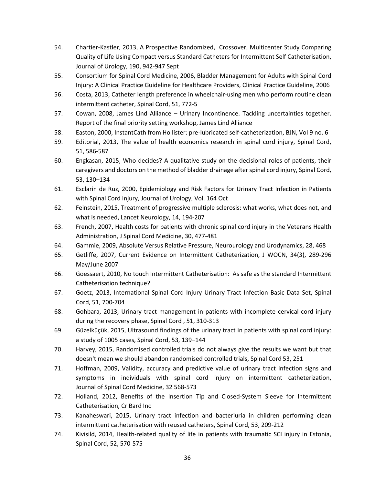- 54. Chartier-Kastler, 2013, A Prospective Randomized, Crossover, Multicenter Study Comparing Quality of Life Using Compact versus Standard Catheters for Intermittent Self Catheterisation, Journal of Urology, 190, 942-947 Sept
- 55. Consortium for Spinal Cord Medicine, 2006, Bladder Management for Adults with Spinal Cord Injury: A Clinical Practice Guideline for Healthcare Providers, Clinical Practice Guideline, 2006
- 56. Costa, 2013, Catheter length preference in wheelchair-using men who perform routine clean intermittent catheter, Spinal Cord, 51, 772-5
- 57. Cowan, 2008, James Lind Alliance Urinary Incontinence. Tackling uncertainties together. Report of the final priority setting workshop, James Lind Alliance
- 58. Easton, 2000, InstantCath from Hollister: pre-lubricated self-catheterization, BJN, Vol 9 no. 6
- 59. Editorial, 2013, The value of health economics research in spinal cord injury, Spinal Cord, 51, 586-587
- 60. Engkasan, 2015, Who decides? A qualitative study on the decisional roles of patients, their caregivers and doctors on the method of bladder drainage after spinal cord injury, Spinal Cord, 53, 130–134
- 61. Esclarin de Ruz, 2000, Epidemiology and Risk Factors for Urinary Tract Infection in Patients with Spinal Cord Injury, Journal of Urology, Vol. 164 Oct
- 62. Feinstein, 2015, Treatment of progressive multiple sclerosis: what works, what does not, and what is needed, Lancet Neurology, 14, 194-207
- 63. French, 2007, Health costs for patients with chronic spinal cord injury in the Veterans Health Administration, J Spinal Cord Medicine, 30, 477-481
- 64. Gammie, 2009, Absolute Versus Relative Pressure, Neurourology and Urodynamics, 28, 468
- 65. Getliffe, 2007, Current Evidence on Intermittent Catheterization, J WOCN, 34(3), 289-296 May/June 2007
- 66. Goessaert, 2010, No touch Intermittent Catheterisation: As safe as the standard Intermittent Catheterisation technique?
- 67. Goetz, 2013, International Spinal Cord Injury Urinary Tract Infection Basic Data Set, Spinal Cord, 51, 700-704
- 68. Gohbara, 2013, Urinary tract management in patients with incomplete cervical cord injury during the recovery phase, Spinal Cord , 51, 310-313
- 69. Güzelküçük, 2015, Ultrasound findings of the urinary tract in patients with spinal cord injury: a study of 1005 cases, Spinal Cord, 53, 139–144
- 70. Harvey, 2015, Randomised controlled trials do not always give the results we want but that doesn't mean we should abandon randomised controlled trials, Spinal Cord 53, 251
- 71. Hoffman, 2009, Validity, accuracy and predictive value of urinary tract infection signs and symptoms in individuals with spinal cord injury on intermittent catheterization, Journal of Spinal Cord Medicine, 32 568-573
- 72. Holland, 2012, Benefits of the Insertion Tip and Closed-System Sleeve for Intermittent Catheterisation, Cr Bard Inc
- 73. Kanaheswari, 2015, Urinary tract infection and bacteriuria in children performing clean intermittent catheterisation with reused catheters, Spinal Cord, 53, 209-212
- 74. Kivisild, 2014, Health-related quality of life in patients with traumatic SCI injury in Estonia, Spinal Cord, 52, 570-575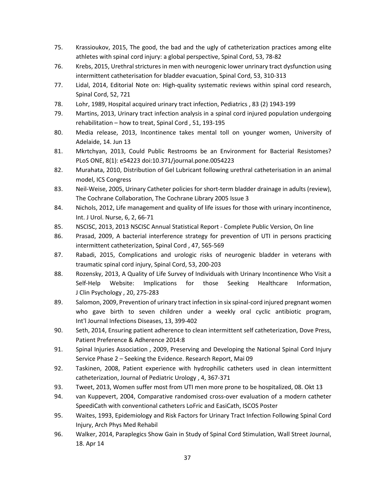- 75. Krassioukov, 2015, The good, the bad and the ugly of catheterization practices among elite athletes with spinal cord injury: a global perspective, Spinal Cord, 53, 78-82
- 76. Krebs, 2015, Urethral strictures in men with neurogenic lower unrinary tract dysfunction using intermittent catheterisation for bladder evacuation, Spinal Cord, 53, 310-313
- 77. Lidal, 2014, Editorial Note on: High-quality systematic reviews within spinal cord research, Spinal Cord, 52, 721
- 78. Lohr, 1989, Hospital acquired urinary tract infection, Pediatrics , 83 (2) 1943-199
- 79. Martins, 2013, Urinary tract infection analysis in a spinal cord injured population undergoing rehabilitation – how to treat, Spinal Cord , 51, 193-195
- 80. Media release, 2013, Incontinence takes mental toll on younger women, University of Adelaide, 14. Jun 13
- 81. Mkrtchyan, 2013, Could Public Restrooms be an Environment for Bacterial Resistomes? PLoS ONE, 8(1): e54223 doi:10.371/journal.pone.0054223
- 82. Murahata, 2010, Distribution of Gel Lubricant following urethral catheterisation in an animal model, ICS Congress
- 83. Neil-Weise, 2005, Urinary Catheter policies for short-term bladder drainage in adults (review), The Cochrane Collaboration, The Cochrane Library 2005 Issue 3
- 84. Nichols, 2012, Life management and quality of life issues for those with urinary incontinence, Int. J Urol. Nurse, 6, 2, 66-71
- 85. NSCISC, 2013, 2013 NSCISC Annual Statistical Report Complete Public Version, On line
- 86. Prasad, 2009, A bacterial interference strategy for prevention of UTI in persons practicing intermittent catheterization, Spinal Cord , 47, 565-569
- 87. Rabadi, 2015, Complications and urologic risks of neurogenic bladder in veterans with traumatic spinal cord injury, Spinal Cord, 53, 200-203
- 88. Rozensky, 2013, A Quality of Life Survey of Individuals with Urinary Incontinence Who Visit a Self-Help Website: Implications for those Seeking Healthcare Information, J Clin Psychology , 20, 275-283
- 89. Salomon, 2009, Prevention of urinary tract infection in six spinal-cord injured pregnant women who gave birth to seven children under a weekly oral cyclic antibiotic program, Int'l Journal Infections Diseases, 13, 399-402
- 90. Seth, 2014, Ensuring patient adherence to clean intermittent self catheterization, Dove Press, Patient Preference & Adherence 2014:8
- 91. Spinal Injuries Association , 2009, Preserving and Developing the National Spinal Cord Injury Service Phase 2 – Seeking the Evidence. Research Report, Mai 09
- 92. Taskinen, 2008, Patient experience with hydrophilic catheters used in clean intermittent catheterization, Journal of Pediatric Urology , 4, 367-371
- 93. Tweet, 2013, Women suffer most from UTI men more prone to be hospitalized, 08. Okt 13
- 94. van Kuppevert, 2004, Comparative randomised cross-over evaluation of a modern catheter SpeediCath with conventional catheters LoFric and EasiCath, ISCOS Poster
- 95. Waites, 1993, Epidemiology and Risk Factors for Urinary Tract Infection Following Spinal Cord Injury, Arch Phys Med Rehabil
- 96. Walker, 2014, Paraplegics Show Gain in Study of Spinal Cord Stimulation, Wall Street Journal, 18. Apr 14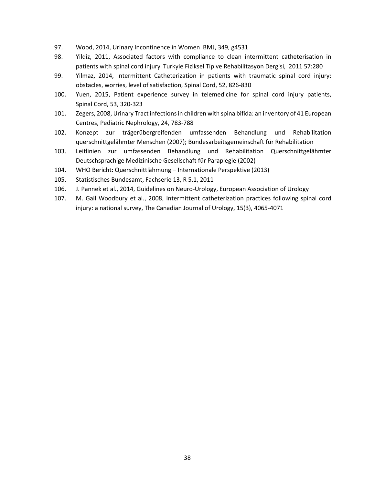- 97. Wood, 2014, Urinary Incontinence in Women BMJ, 349, g4531
- 98. Yildiz, 2011, Associated factors with compliance to clean intermittent catheterisation in patients with spinal cord injury Turkyie Fiziksel Tip ve Rehabilitasyon Dergisi, 2011 57:280
- 99. Yilmaz, 2014, Intermittent Catheterization in patients with traumatic spinal cord injury: obstacles, worries, level of satisfaction, Spinal Cord, 52, 826-830
- 100. Yuen, 2015, Patient experience survey in telemedicine for spinal cord injury patients, Spinal Cord, 53, 320-323
- 101. Zegers, 2008, Urinary Tract infections in children with spina bifida: an inventory of 41 European Centres, Pediatric Nephrology, 24, 783-788
- 102. Konzept zur trägerübergreifenden umfassenden Behandlung und Rehabilitation querschnittgelähmter Menschen (2007); Bundesarbeitsgemeinschaft für Rehabilitation
- 103. Leitlinien zur umfassenden Behandlung und Rehabilitation Querschnittgelähmter Deutschsprachige Medizinische Gesellschaft für Paraplegie (2002)
- 104. WHO Bericht: Querschnittlähmung Internationale Perspektive (2013)
- 105. Statistisches Bundesamt, Fachserie 13, R 5.1, 2011
- 106. J. Pannek et al., 2014, Guidelines on Neuro-Urology, European Association of Urology
- 107. M. Gail Woodbury et al., 2008, Intermittent catheterization practices following spinal cord injury: a national survey, The Canadian Journal of Urology, 15(3), 4065-4071